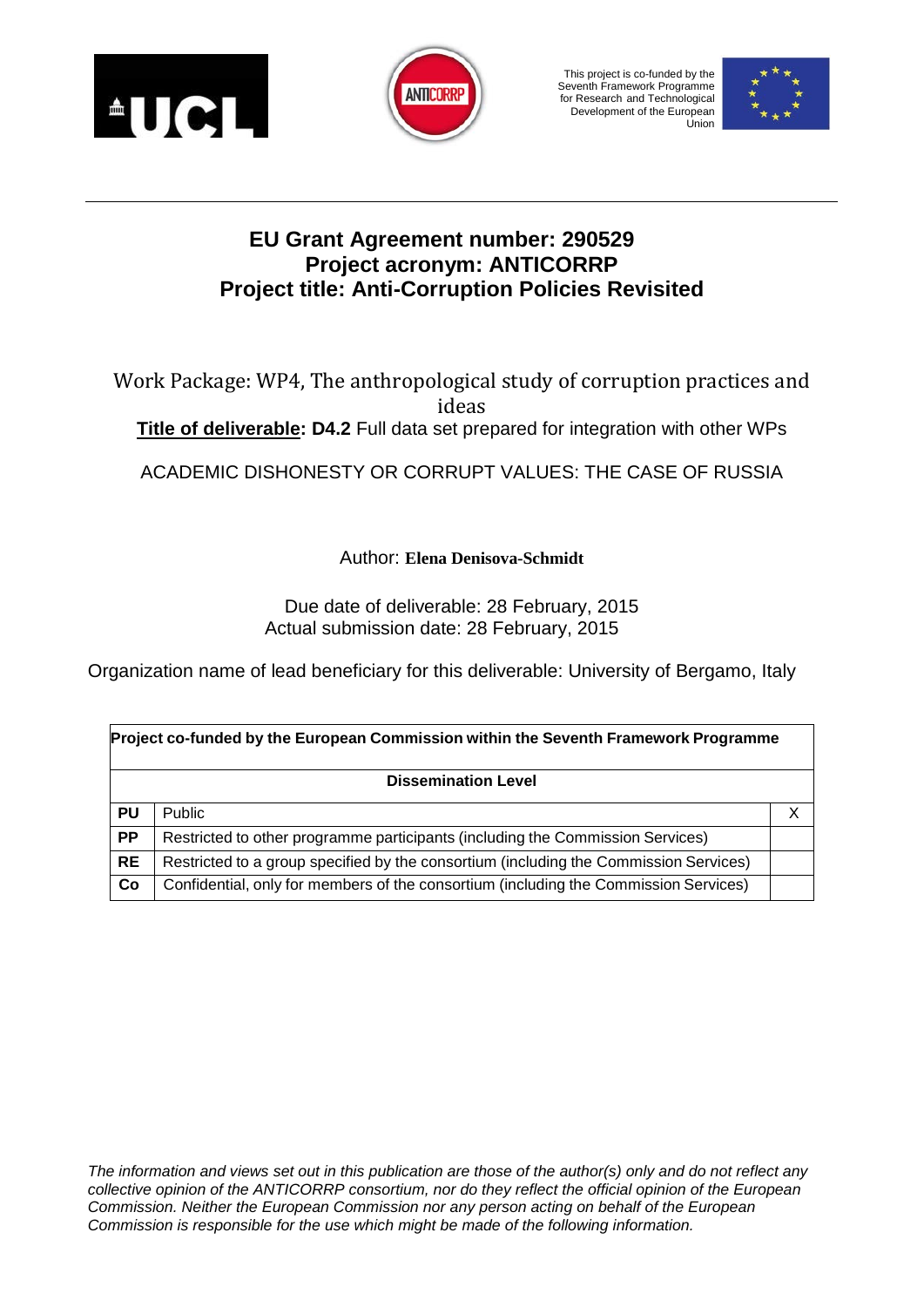



This project is co-funded by the Seventh Framework Programme for Research and Technological Development of the European Union



# **EU Grant Agreement number: 290529 Project acronym: ANTICORRP Project title: Anti-Corruption Policies Revisited**

Work Package: WP4, The anthropological study of corruption practices and ideas **Title of deliverable: D4.2** Full data set prepared for integration with other WPs

ACADEMIC DISHONESTY OR CORRUPT VALUES: THE CASE OF RUSSIA

Author: **Elena Denisova-Schmidt**

Due date of deliverable: 28 February, 2015 Actual submission date: 28 February, 2015

Organization name of lead beneficiary for this deliverable: University of Bergamo, Italy

| Project co-funded by the European Commission within the Seventh Framework Programme |                                                                                       |   |  |  |  |  |  |  |
|-------------------------------------------------------------------------------------|---------------------------------------------------------------------------------------|---|--|--|--|--|--|--|
| <b>Dissemination Level</b>                                                          |                                                                                       |   |  |  |  |  |  |  |
| <b>PU</b>                                                                           | <b>Public</b>                                                                         | Х |  |  |  |  |  |  |
| <b>PP</b>                                                                           | Restricted to other programme participants (including the Commission Services)        |   |  |  |  |  |  |  |
| <b>RE</b>                                                                           | Restricted to a group specified by the consortium (including the Commission Services) |   |  |  |  |  |  |  |
| Co                                                                                  | Confidential, only for members of the consortium (including the Commission Services)  |   |  |  |  |  |  |  |

*The information and views set out in this publication are those of the author(s) only and do not reflect any collective opinion of the ANTICORRP consortium, nor do they reflect the official opinion of the European Commission. Neither the European Commission nor any person acting on behalf of the European Commission is responsible for the use which might be made of the following information.*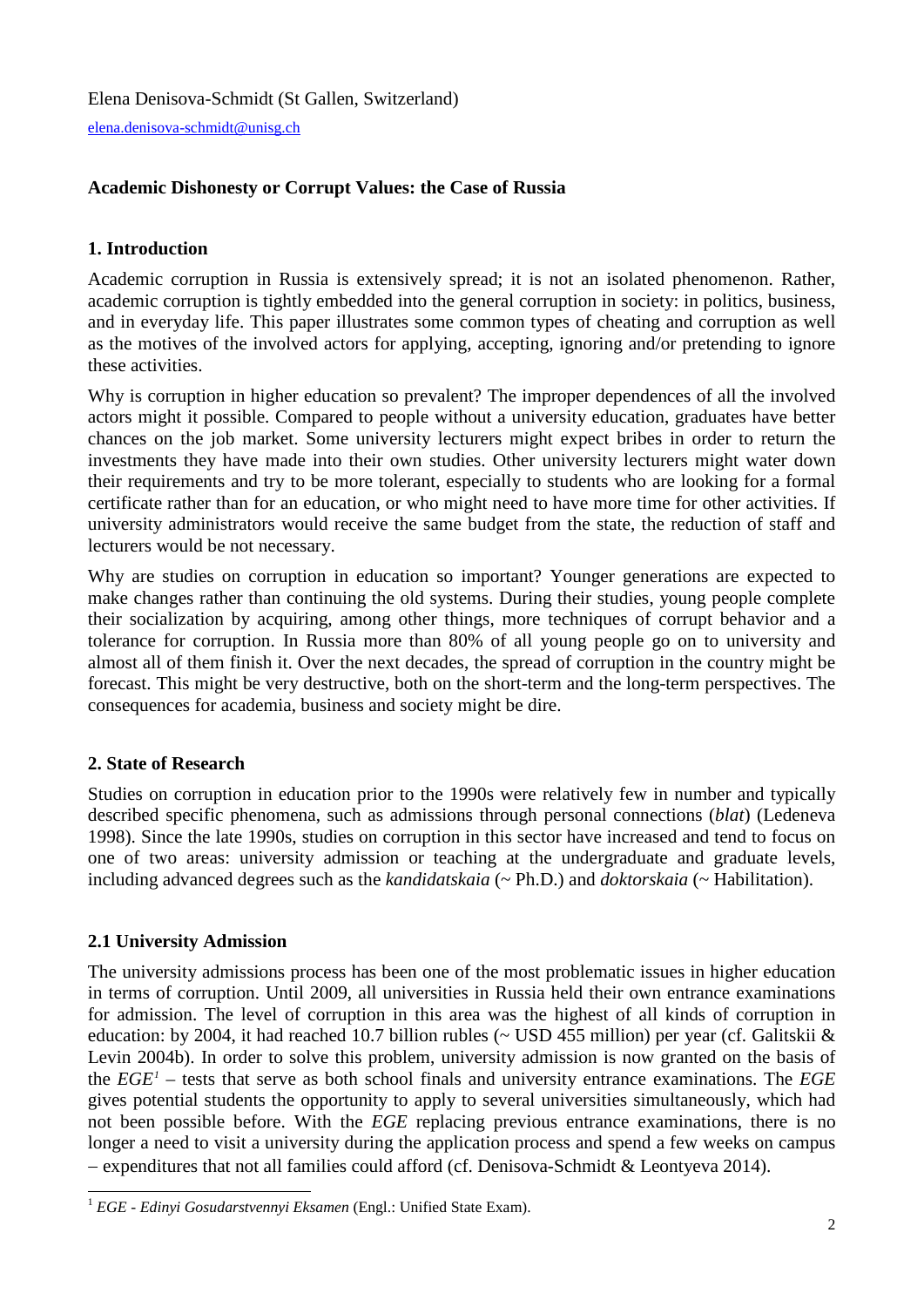[elena.denisova-schmidt@unisg.ch](mailto:elena.denisova-schmidt@unisg.ch)

# **Academic Dishonesty or Corrupt Values: the Case of Russia**

# **1. Introduction**

Academic corruption in Russia is extensively spread; it is not an isolated phenomenon. Rather, academic corruption is tightly embedded into the general corruption in society: in politics, business, and in everyday life. This paper illustrates some common types of cheating and corruption as well as the motives of the involved actors for applying, accepting, ignoring and/or pretending to ignore these activities.

Why is corruption in higher education so prevalent? The improper dependences of all the involved actors might it possible. Compared to people without a university education, graduates have better chances on the job market. Some university lecturers might expect bribes in order to return the investments they have made into their own studies. Other university lecturers might water down their requirements and try to be more tolerant, especially to students who are looking for a formal certificate rather than for an education, or who might need to have more time for other activities. If university administrators would receive the same budget from the state, the reduction of staff and lecturers would be not necessary.

Why are studies on corruption in education so important? Younger generations are expected to make changes rather than continuing the old systems. During their studies, young people complete their socialization by acquiring, among other things, more techniques of corrupt behavior and a tolerance for corruption. In Russia more than 80% of all young people go on to university and almost all of them finish it. Over the next decades, the spread of corruption in the country might be forecast. This might be very destructive, both on the short-term and the long-term perspectives. The consequences for academia, business and society might be dire.

### **2. State of Research**

Studies on corruption in education prior to the 1990s were relatively few in number and typically described specific phenomena, such as admissions through personal connections (*blat*) (Ledeneva 1998). Since the late 1990s, studies on corruption in this sector have increased and tend to focus on one of two areas: university admission or teaching at the undergraduate and graduate levels, including advanced degrees such as the *kandidatskaia* (~ Ph.D.) and *doktorskaia* (~ Habilitation).

### **2.1 University Admission**

The university admissions process has been one of the most problematic issues in higher education in terms of corruption. Until 2009, all universities in Russia held their own entrance examinations for admission. The level of corruption in this area was the highest of all kinds of corruption in education: by 2004, it had reached 10.7 billion rubles (~ USD 455 million) per year (cf. Galitskii & Levin 2004b). In order to solve this problem, university admission is now granted on the basis of the *EGE[1](#page-1-0)* – tests that serve as both school finals and university entrance examinations. The *EGE* gives potential students the opportunity to apply to several universities simultaneously, which had not been possible before. With the *EGE* replacing previous entrance examinations, there is no longer a need to visit a university during the application process and spend a few weeks on campus − expenditures that not all families could afford (cf. Denisova-Schmidt & Leontyeva 2014).

<span id="page-1-0"></span><sup>1</sup> *EGE - Edinyi Gosudarstvennyi Eksamen* (Engl.: Unified State Exam).  $\overline{a}$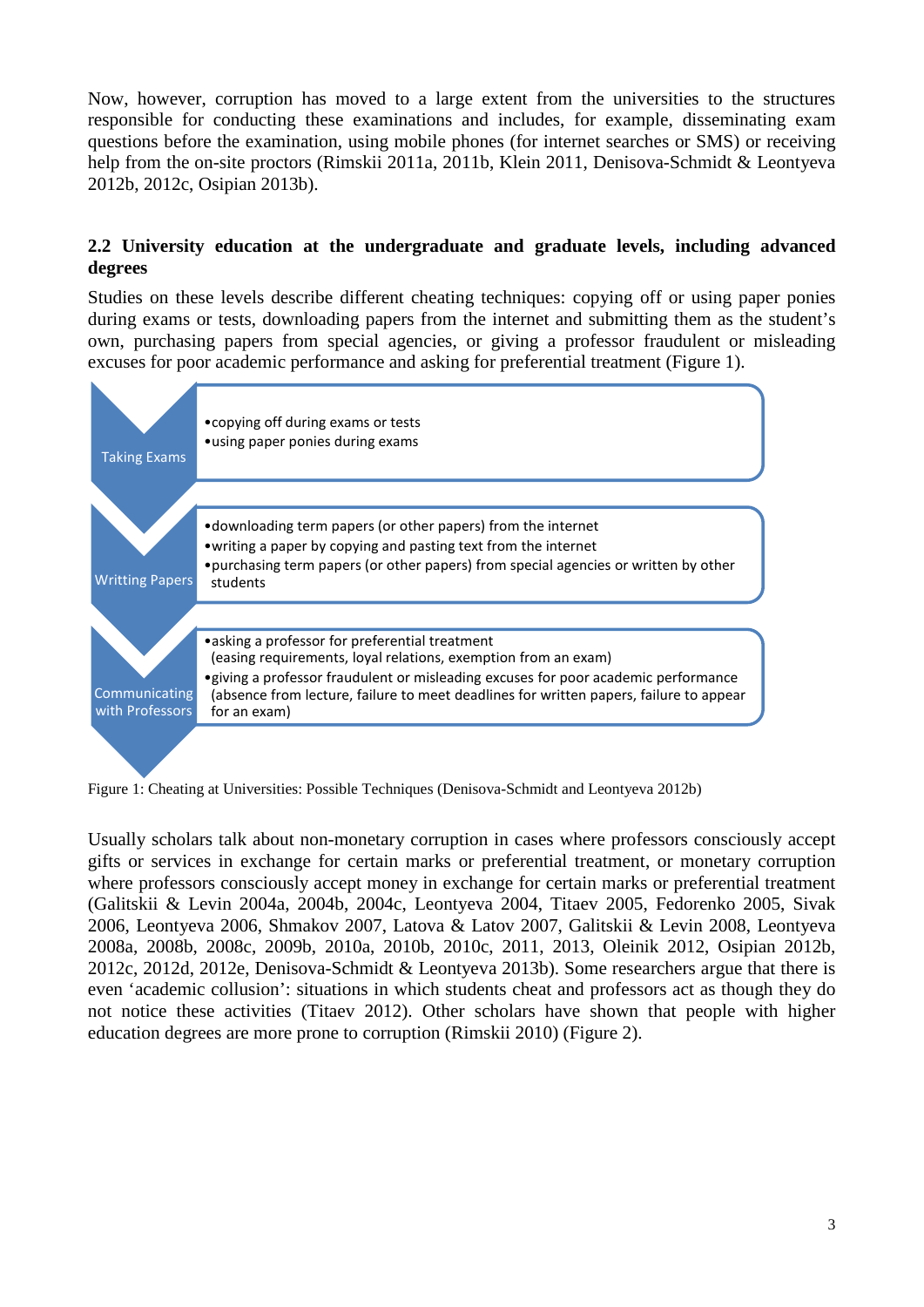Now, however, corruption has moved to a large extent from the universities to the structures responsible for conducting these examinations and includes, for example, disseminating exam questions before the examination, using mobile phones (for internet searches or SMS) or receiving help from the on-site proctors (Rimskii 2011a, 2011b, Klein 2011, Denisova-Schmidt & Leontyeva 2012b, 2012c, Osipian 2013b).

### **2.2 University education at the undergraduate and graduate levels, including advanced degrees**

Studies on these levels describe different cheating techniques: copying off or using paper ponies during exams or tests, downloading papers from the internet and submitting them as the student's own, purchasing papers from special agencies, or giving a professor fraudulent or misleading excuses for poor academic performance and asking for preferential treatment (Figure 1).



Figure 1: Cheating at Universities: Possible Techniques (Denisova-Schmidt and Leontyeva 2012b)

Usually scholars talk about non-monetary corruption in cases where professors consciously accept gifts or services in exchange for certain marks or preferential treatment, or monetary corruption where professors consciously accept money in exchange for certain marks or preferential treatment (Galitskii & Levin 2004a, 2004b, 2004c, Leontyeva 2004, Titaev 2005, Fedorenko 2005, Sivak 2006, Leontyeva 2006, Shmakov 2007, Latova & Latov 2007, Galitskii & Levin 2008, Leontyeva 2008a, 2008b, 2008c, 2009b, 2010a, 2010b, 2010c, 2011, 2013, Oleinik 2012, Osipian 2012b, 2012c, 2012d, 2012e, Denisova-Schmidt & Leontyeva 2013b). Some researchers argue that there is even 'academic collusion': situations in which students cheat and professors act as though they do not notice these activities (Titaev 2012). Other scholars have shown that people with higher education degrees are more prone to corruption (Rimskii 2010) (Figure 2).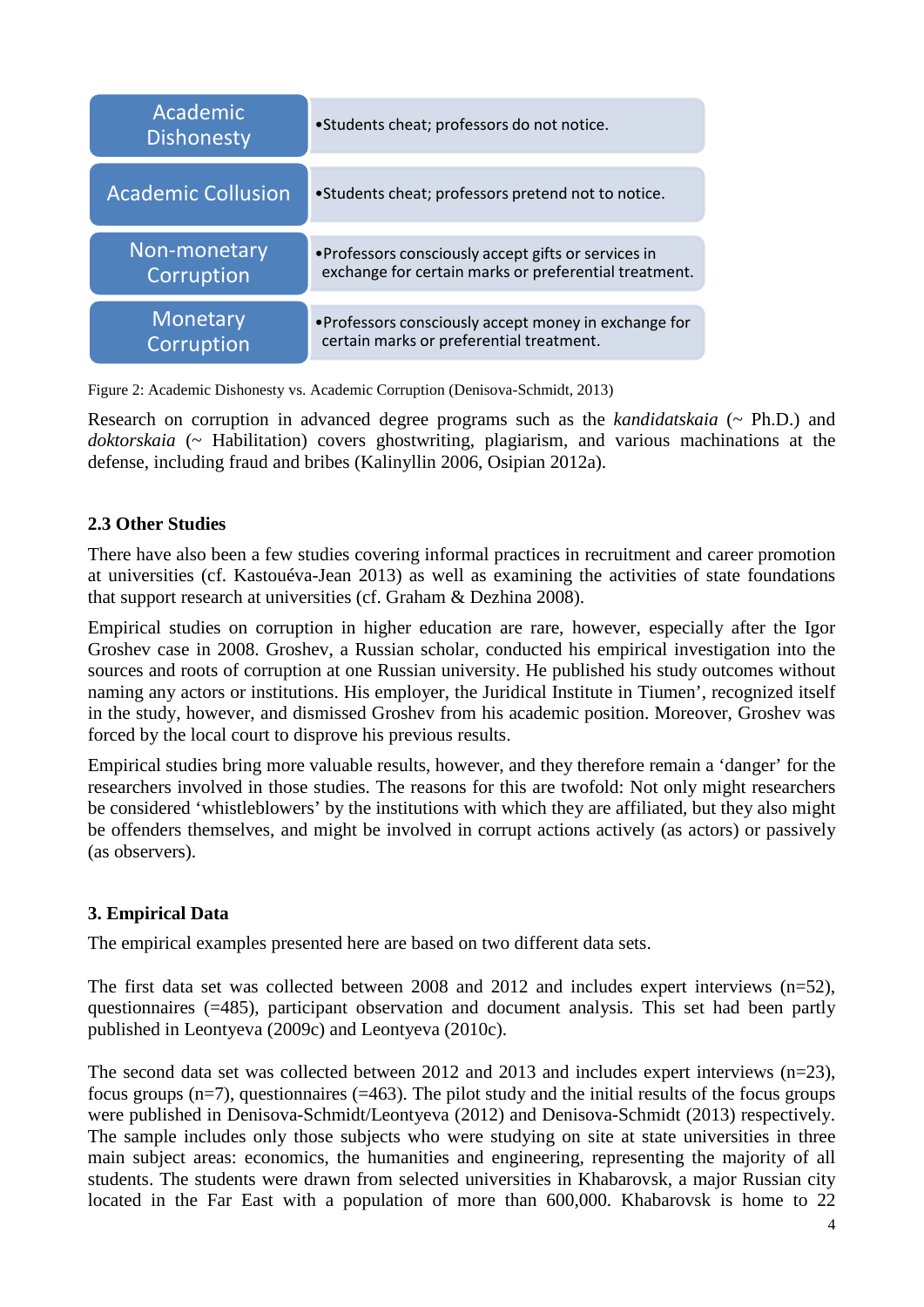| Academic<br><b>Dishonesty</b> | •Students cheat; professors do not notice.            |  |  |  |  |
|-------------------------------|-------------------------------------------------------|--|--|--|--|
| <b>Academic Collusion</b>     | •Students cheat; professors pretend not to notice.    |  |  |  |  |
| Non-monetary                  | • Professors consciously accept gifts or services in  |  |  |  |  |
| <b>Corruption</b>             | exchange for certain marks or preferential treatment. |  |  |  |  |
| Monetary                      | • Professors consciously accept money in exchange for |  |  |  |  |
| <b>Corruption</b>             | certain marks or preferential treatment.              |  |  |  |  |

Figure 2: Academic Dishonesty vs. Academic Corruption (Denisova-Schmidt, 2013)

Research on corruption in advanced degree programs such as the *kandidatskaia* (~ Ph.D.) and *doktorskaia* (~ Habilitation) covers ghostwriting, plagiarism, and various machinations at the defense, including fraud and bribes (Kalinyllin 2006, Osipian 2012a).

### **2.3 Other Studies**

There have also been a few studies covering informal practices in recruitment and career promotion at universities (cf. Kastouéva-Jean 2013) as well as examining the activities of state foundations that support research at universities (cf. Graham & Dezhina 2008).

Empirical studies on corruption in higher education are rare, however, especially after the Igor Groshev case in 2008. Groshev, a Russian scholar, conducted his empirical investigation into the sources and roots of corruption at one Russian university. He published his study outcomes without naming any actors or institutions. His employer, the Juridical Institute in Tiumen', recognized itself in the study, however, and dismissed Groshev from his academic position. Moreover, Groshev was forced by the local court to disprove his previous results.

Empirical studies bring more valuable results, however, and they therefore remain a 'danger' for the researchers involved in those studies. The reasons for this are twofold: Not only might researchers be considered 'whistleblowers' by the institutions with which they are affiliated, but they also might be offenders themselves, and might be involved in corrupt actions actively (as actors) or passively (as observers).

### **3. Empirical Data**

The empirical examples presented here are based on two different data sets.

The first data set was collected between 2008 and 2012 and includes expert interviews (n=52), questionnaires (=485), participant observation and document analysis. This set had been partly published in Leontyeva (2009c) and Leontyeva (2010c).

The second data set was collected between 2012 and 2013 and includes expert interviews  $(n=23)$ , focus groups  $(n=7)$ , questionnaires  $(=463)$ . The pilot study and the initial results of the focus groups were published in Denisova-Schmidt/Leontyeva (2012) and Denisova-Schmidt (2013) respectively. The sample includes only those subjects who were studying on site at state universities in three main subject areas: economics, the humanities and engineering, representing the majority of all students. The students were drawn from selected universities in Khabarovsk, a major Russian city located in the Far East with a population of more than 600,000. Khabarovsk is home to 22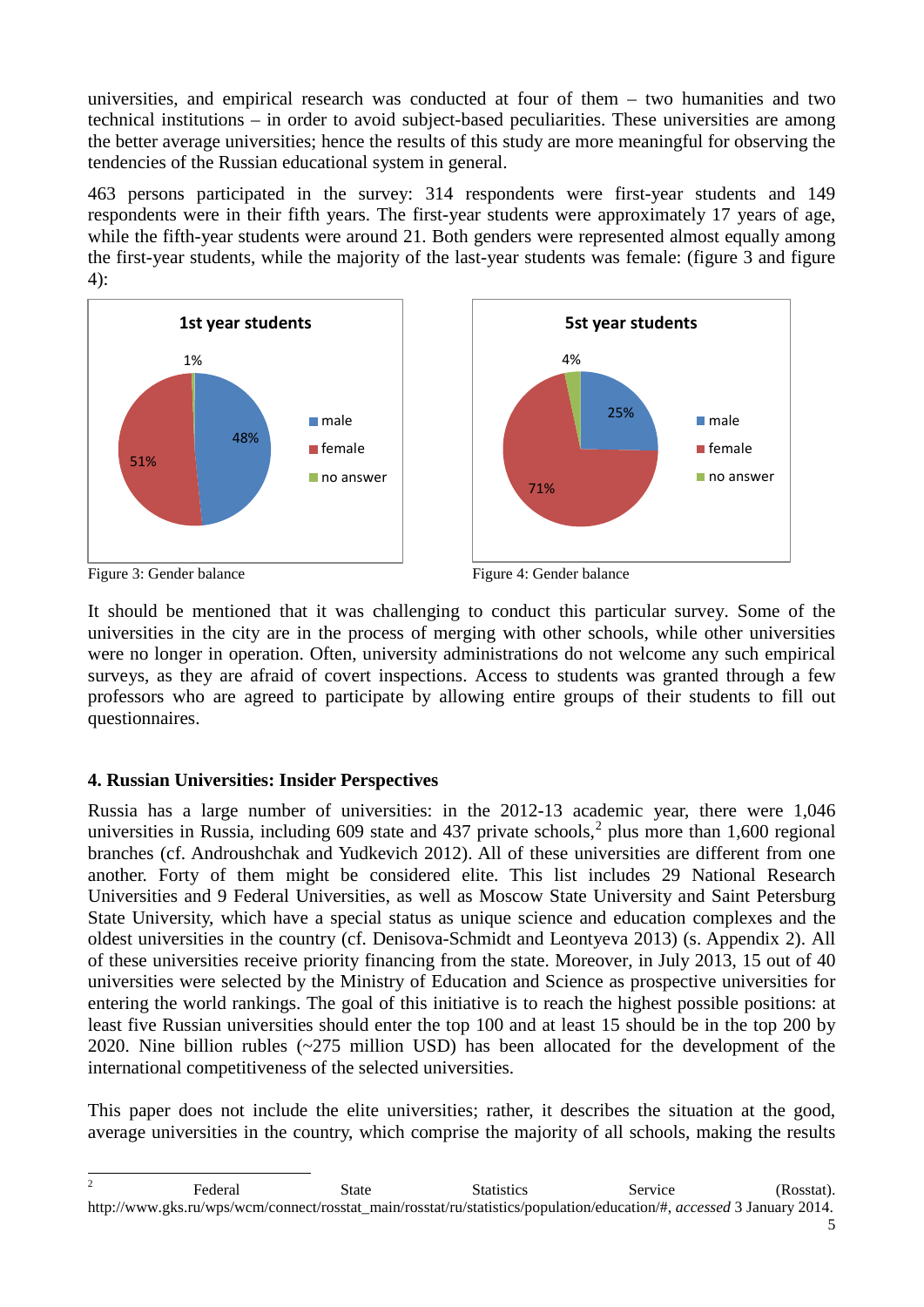universities, and empirical research was conducted at four of them – two humanities and two technical institutions – in order to avoid subject-based peculiarities. These universities are among the better average universities; hence the results of this study are more meaningful for observing the tendencies of the Russian educational system in general.

463 persons participated in the survey: 314 respondents were first-year students and 149 respondents were in their fifth years. The first-year students were approximately 17 years of age, while the fifth-year students were around 21. Both genders were represented almost equally among the first-year students, while the majority of the last-year students was female: (figure 3 and figure 4):



It should be mentioned that it was challenging to conduct this particular survey. Some of the universities in the city are in the process of merging with other schools, while other universities were no longer in operation. Often, university administrations do not welcome any such empirical surveys, as they are afraid of covert inspections. Access to students was granted through a few professors who are agreed to participate by allowing entire groups of their students to fill out questionnaires.

# **4. Russian Universities: Insider Perspectives**

Russia has a large number of universities: in the 2012-13 academic year, there were 1,046 universities in Russia, including 609 state and 437 private schools,  $2$  plus more than 1,600 regional branches (cf. Androushchak and Yudkevich 2012). All of these universities are different from one another. Forty of them might be considered elite. This list includes 29 National Research Universities and 9 Federal Universities, as well as Moscow State University and Saint Petersburg State University, which have a special status as unique science and education complexes and the oldest universities in the country (cf. Denisova-Schmidt and Leontyeva 2013) (s. Appendix 2). All of these universities receive priority financing from the state. Moreover, in July 2013, 15 out of 40 universities were selected by the Ministry of Education and Science as prospective universities for entering the world rankings. The goal of this initiative is to reach the highest possible positions: at least five Russian universities should enter the top 100 and at least 15 should be in the top 200 by 2020. Nine billion rubles (~275 million USD) has been allocated for the development of the international competitiveness of the selected universities.

This paper does not include the elite universities; rather, it describes the situation at the good, average universities in the country, which comprise the majority of all schools, making the results

<span id="page-4-0"></span><sup>&</sup>lt;sup>2</sup> Federal State Statistics Service (Rosstat). http://www.gks.ru/wps/wcm/connect/rosstat\_main/rosstat/ru/statistics/population/education/#, *accessed* 3 January 2014.  $\overline{2}$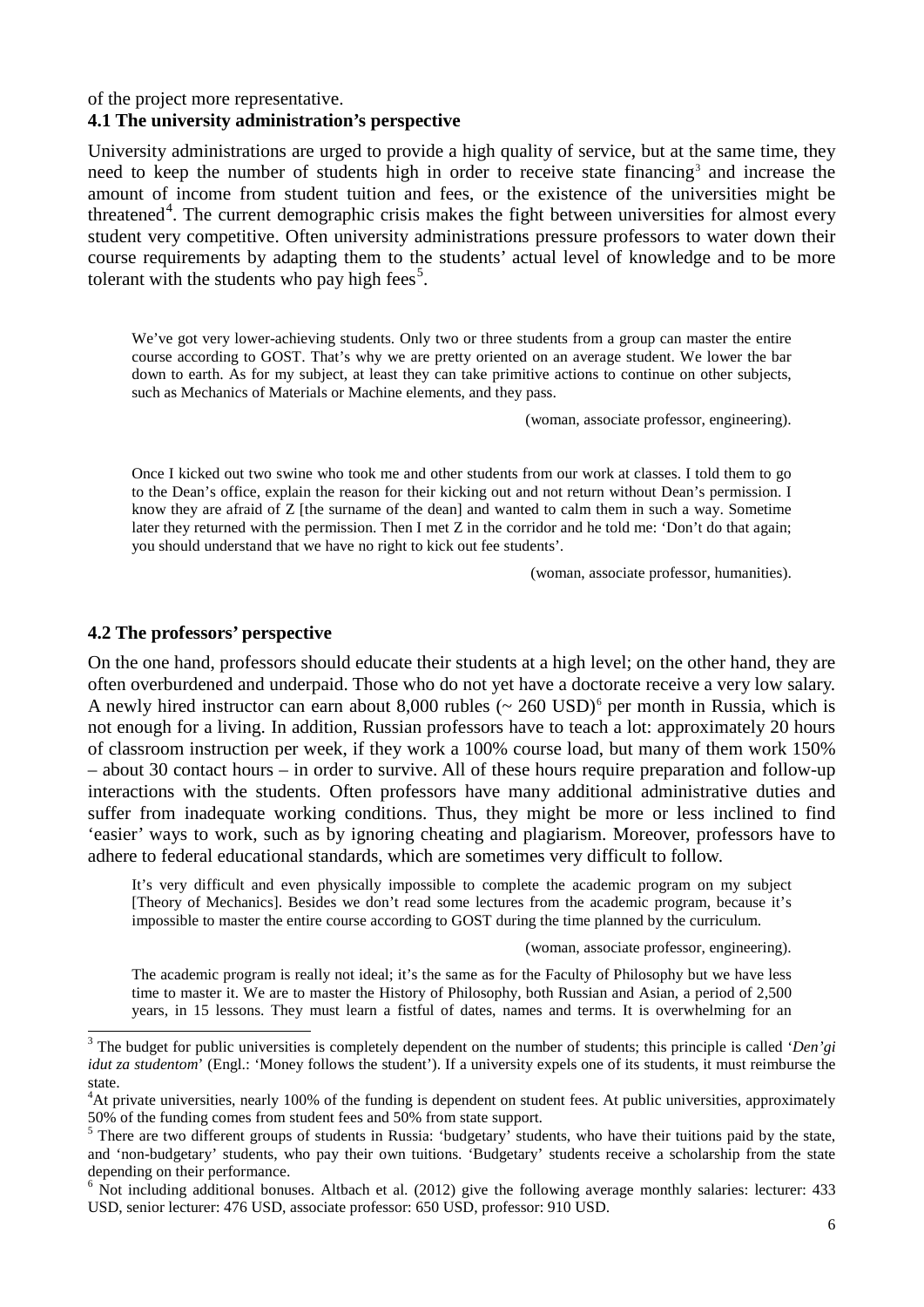#### of the project more representative.

#### **4.1 The university administration's perspective**

University administrations are urged to provide a high quality of service, but at the same time, they need to keep the number of students high in order to receive state financing<sup>[3](#page-5-0)</sup> and increase the amount of income from student tuition and fees, or the existence of the universities might be threatened<sup>[4](#page-5-1)</sup>. The current demographic crisis makes the fight between universities for almost every student very competitive. Often university administrations pressure professors to water down their course requirements by adapting them to the students' actual level of knowledge and to be more tolerant with the students who pay high fees<sup>[5](#page-5-2)</sup>.

We've got very lower-achieving students. Only two or three students from a group can master the entire course according to GOST. That's why we are pretty oriented on an average student. We lower the bar down to earth. As for my subject, at least they can take primitive actions to continue on other subjects, such as Mechanics of Materials or Machine elements, and they pass.

(woman, associate professor, engineering).

Once I kicked out two swine who took me and other students from our work at classes. I told them to go to the Dean's office, explain the reason for their kicking out and not return without Dean's permission. I know they are afraid of Z [the surname of the dean] and wanted to calm them in such a way. Sometime later they returned with the permission. Then I met Z in the corridor and he told me: 'Don't do that again; you should understand that we have no right to kick out fee students'.

(woman, associate professor, humanities).

#### **4.2 The professors' perspective**

-

On the one hand, professors should educate their students at a high level; on the other hand, they are often overburdened and underpaid. Those who do not yet have a doctorate receive a very low salary. A newly hired instructor can earn about 8,000 rubles  $\sim 260 \text{ USD}^6$  $\sim 260 \text{ USD}^6$  $\sim 260 \text{ USD}^6$  per month in Russia, which is not enough for a living. In addition, Russian professors have to teach a lot: approximately 20 hours of classroom instruction per week, if they work a 100% course load, but many of them work 150% – about 30 contact hours – in order to survive. All of these hours require preparation and follow-up interactions with the students. Often professors have many additional administrative duties and suffer from inadequate working conditions. Thus, they might be more or less inclined to find 'easier' ways to work, such as by ignoring cheating and plagiarism. Moreover, professors have to adhere to federal educational standards, which are sometimes very difficult to follow.

It's very difficult and even physically impossible to complete the academic program on my subject [Theory of Mechanics]. Besides we don't read some lectures from the academic program, because it's impossible to master the entire course according to GOST during the time planned by the curriculum.

(woman, associate professor, engineering).

The academic program is really not ideal; it's the same as for the Faculty of Philosophy but we have less time to master it. We are to master the History of Philosophy, both Russian and Asian, a period of 2,500 years, in 15 lessons. They must learn a fistful of dates, names and terms. It is overwhelming for an

<span id="page-5-0"></span><sup>3</sup> The budget for public universities is completely dependent on the number of students; this principle is called '*Den'gi idut za studentom*' (Engl.: 'Money follows the student'). If a university expels one of its students, it must reimburse the state.

<span id="page-5-1"></span><sup>&</sup>lt;sup>4</sup>At private universities, nearly 100% of the funding is dependent on student fees. At public universities, approximately 50% of the funding comes from student fees and 50% from state support.<br><sup>5</sup> There are two different groups of students in Russia: 'budgetary' students, who have their tuitions paid by the state,

<span id="page-5-2"></span>and 'non-budgetary' students, who pay their own tuitions. 'Budgetary' students receive a scholarship from the state depending on their performance.

<span id="page-5-3"></span> $6$  Not including additional bonuses. Altbach et al. (2012) give the following average monthly salaries: lecturer: 433 USD, senior lecturer: 476 USD, associate professor: 650 USD, professor: 910 USD.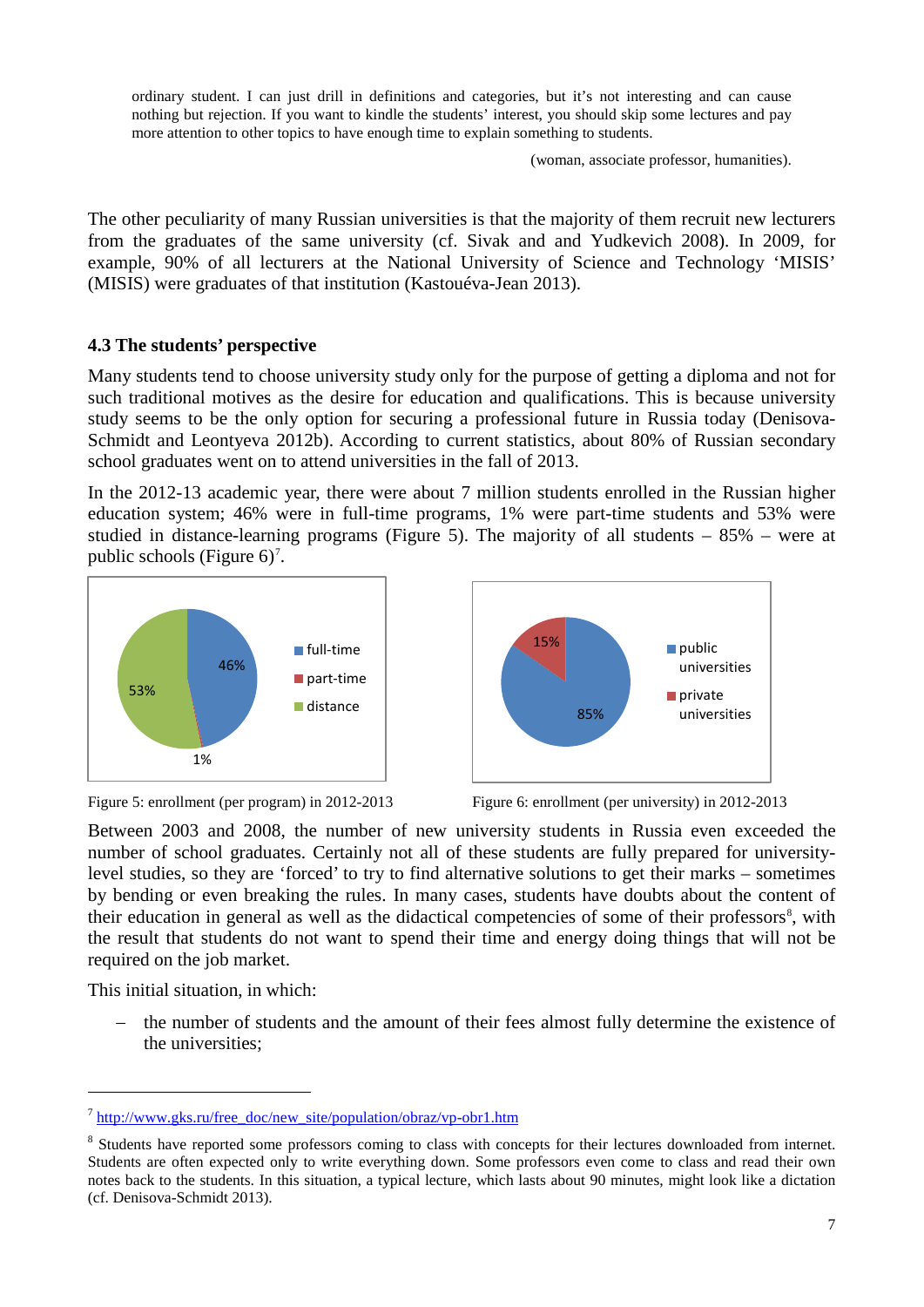ordinary student. I can just drill in definitions and categories, but it's not interesting and can cause nothing but rejection. If you want to kindle the students' interest, you should skip some lectures and pay more attention to other topics to have enough time to explain something to students.

(woman, associate professor, humanities).

The other peculiarity of many Russian universities is that the majority of them recruit new lecturers from the graduates of the same university (cf. Sivak and and Yudkevich 2008). In 2009, for example, 90% of all lecturers at the National University of Science and Technology 'MISIS' (MISIS) were graduates of that institution (Kastouéva-Jean 2013).

#### **4.3 The students' perspective**

Many students tend to choose university study only for the purpose of getting a diploma and not for such traditional motives as the desire for education and qualifications. This is because university study seems to be the only option for securing a professional future in Russia today (Denisova-Schmidt and Leontyeva 2012b). According to current statistics, about 80% of Russian secondary school graduates went on to attend universities in the fall of 2013.

In the 2012-13 academic year, there were about 7 million students enrolled in the Russian higher education system; 46% were in full-time programs, 1% were part-time students and 53% were studied in distance-learning programs (Figure 5). The majority of all students  $-85%$  – were at public schools (Figure  $6$ )<sup>[7](#page-6-0)</sup>.







Between 2003 and 2008, the number of new university students in Russia even exceeded the number of school graduates. Certainly not all of these students are fully prepared for universitylevel studies, so they are 'forced' to try to find alternative solutions to get their marks – sometimes by bending or even breaking the rules. In many cases, students have doubts about the content of their education in general as well as the didactical competencies of some of their professors<sup>[8](#page-6-1)</sup>, with the result that students do not want to spend their time and energy doing things that will not be required on the job market.

This initial situation, in which:

-

the number of students and the amount of their fees almost fully determine the existence of the universities;

<span id="page-6-0"></span> $^7$  [http://www.gks.ru/free\\_doc/new\\_site/population/obraz/vp-obr1.htm](http://www.gks.ru/free_doc/new_site/population/obraz/vp-obr1.htm)

<span id="page-6-1"></span><sup>&</sup>lt;sup>8</sup> Students have reported some professors coming to class with concepts for their lectures downloaded from internet. Students are often expected only to write everything down. Some professors even come to class and read their own notes back to the students. In this situation, a typical lecture, which lasts about 90 minutes, might look like a dictation (cf. Denisova-Schmidt 2013).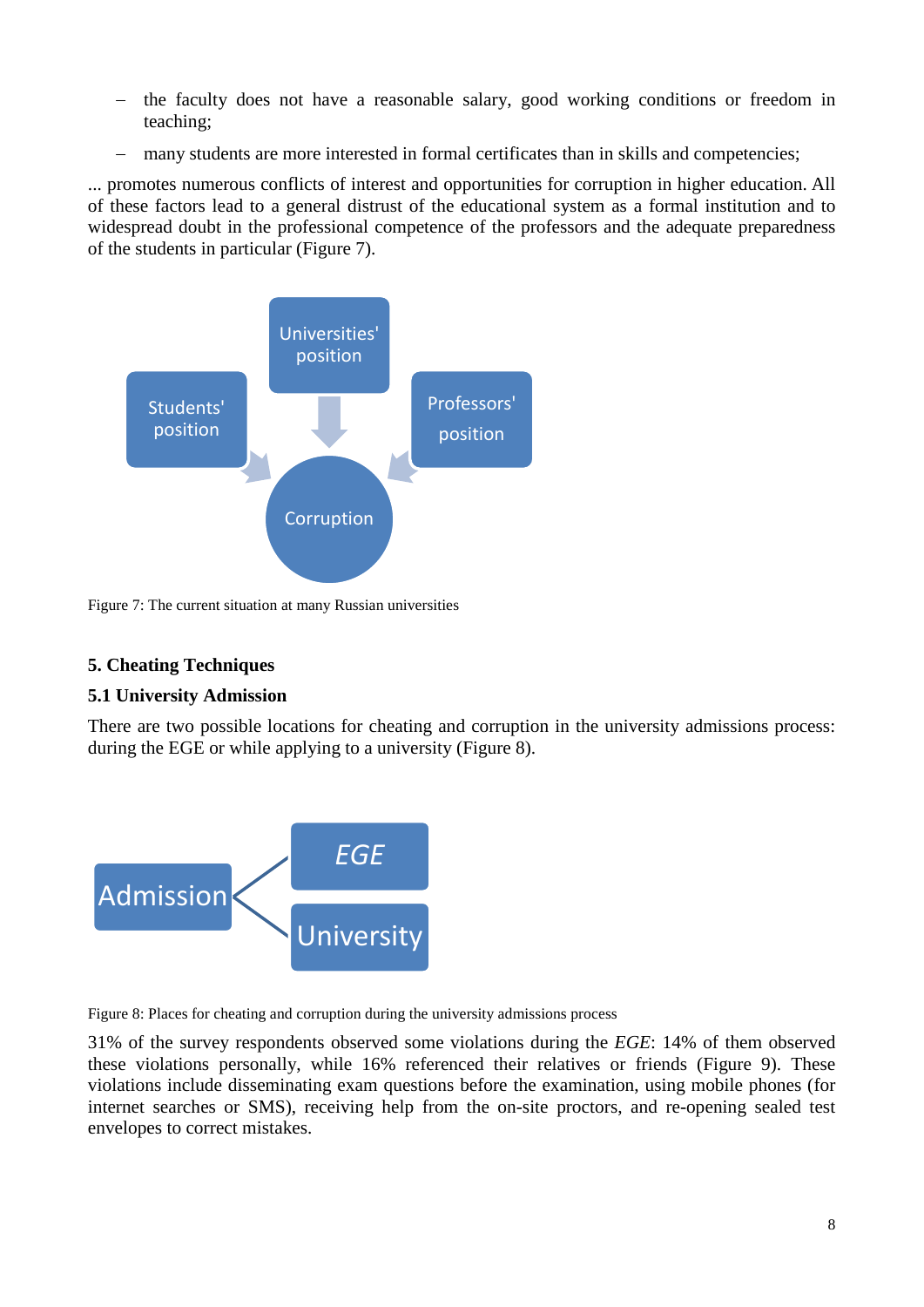- the faculty does not have a reasonable salary, good working conditions or freedom in teaching;
- − many students are more interested in formal certificates than in skills and competencies;

... promotes numerous conflicts of interest and opportunities for corruption in higher education. All of these factors lead to a general distrust of the educational system as a formal institution and to widespread doubt in the professional competence of the professors and the adequate preparedness of the students in particular (Figure 7).



Figure 7: The current situation at many Russian universities

# **5. Cheating Techniques**

### **5.1 University Admission**

There are two possible locations for cheating and corruption in the university admissions process: during the EGE or while applying to a university (Figure 8).



Figure 8: Places for cheating and corruption during the university admissions process

31% of the survey respondents observed some violations during the *EGE*: 14% of them observed these violations personally, while 16% referenced their relatives or friends (Figure 9). These violations include disseminating exam questions before the examination, using mobile phones (for internet searches or SMS), receiving help from the on-site proctors, and re-opening sealed test envelopes to correct mistakes.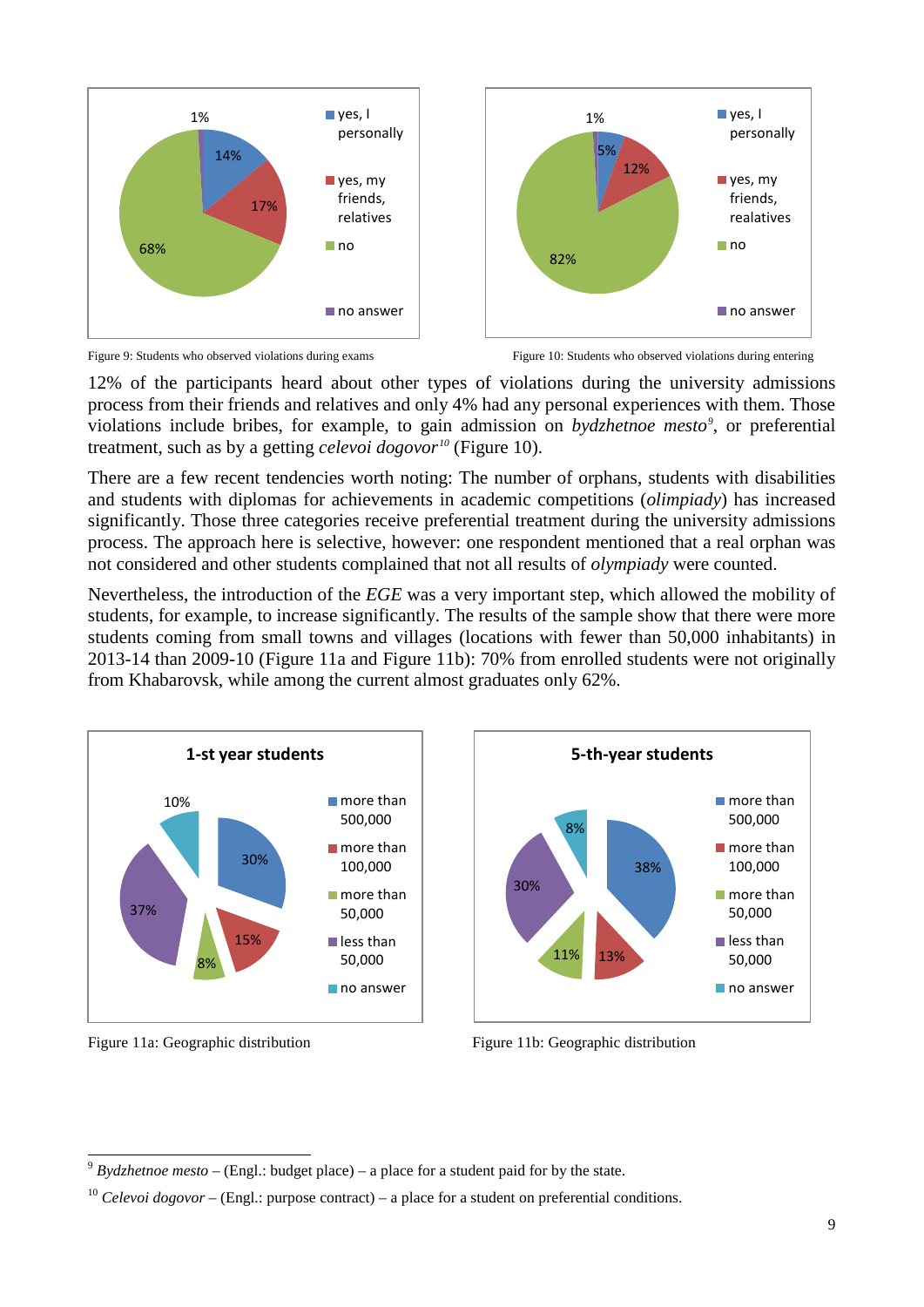





12% of the participants heard about other types of violations during the university admissions process from their friends and relatives and only 4% had any personal experiences with them. Those violations include bribes, for example, to gain admission on *bydzhetnoe mesto[9](#page-8-0)* , or preferential treatment, such as by a getting *celevoi dogovor[10](#page-8-1)* (Figure 10).

There are a few recent tendencies worth noting: The number of orphans, students with disabilities and students with diplomas for achievements in academic competitions (*olimpiady*) has increased significantly. Those three categories receive preferential treatment during the university admissions process. The approach here is selective, however: one respondent mentioned that a real orphan was not considered and other students complained that not all results of *olympiady* were counted.

Nevertheless, the introduction of the *EGE* was a very important step, which allowed the mobility of students, for example, to increase significantly. The results of the sample show that there were more students coming from small towns and villages (locations with fewer than 50,000 inhabitants) in 2013-14 than 2009-10 (Figure 11a and Figure 11b): 70% from enrolled students were not originally from Khabarovsk, while among the current almost graduates only 62%.



11% 13%

Figure 11a: Geographic distribution Figure 11b: Geographic distribution



8%

30%

38%

■ more than 500,000 **n**more than 100,000 ■ more than 50,000 less than 50,000 no answer

**5-th-year students**

<sup>9</sup> *Bydzhetnoe mesto –* (Engl.: budget place) – a place for a student paid for by the state. -

<span id="page-8-1"></span><span id="page-8-0"></span><sup>&</sup>lt;sup>10</sup> *Celevoi dogovor* – (Engl.: purpose contract) – a place for a student on preferential conditions.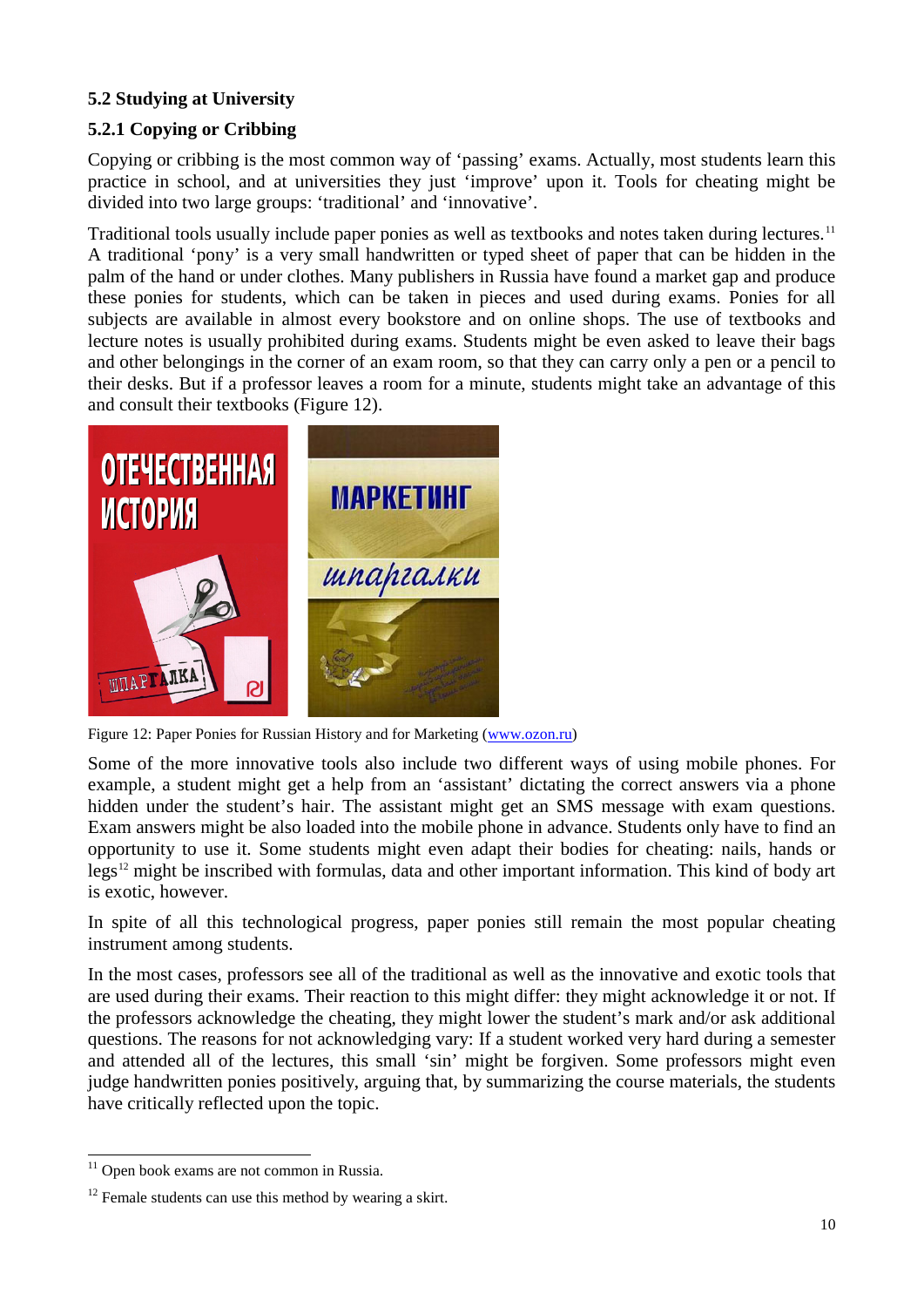# **5.2 Studying at University**

# **5.2.1 Copying or Cribbing**

Copying or cribbing is the most common way of 'passing' exams. Actually, most students learn this practice in school, and at universities they just 'improve' upon it. Tools for cheating might be divided into two large groups: 'traditional' and 'innovative'.

Traditional tools usually include paper ponies as well as textbooks and notes taken during lectures.<sup>[11](#page-9-0)</sup> A traditional 'pony' is a very small handwritten or typed sheet of paper that can be hidden in the palm of the hand or under clothes. Many publishers in Russia have found a market gap and produce these ponies for students, which can be taken in pieces and used during exams. Ponies for all subjects are available in almost every bookstore and on online shops. The use of textbooks and lecture notes is usually prohibited during exams. Students might be even asked to leave their bags and other belongings in the corner of an exam room, so that they can carry only a pen or a pencil to their desks. But if a professor leaves a room for a minute, students might take an advantage of this and consult their textbooks (Figure 12).



Figure 12: Paper Ponies for Russian History and for Marketing [\(www.ozon.ru\)](http://www.ozon.ru/)

Some of the more innovative tools also include two different ways of using mobile phones. For example, a student might get a help from an 'assistant' dictating the correct answers via a phone hidden under the student's hair. The assistant might get an SMS message with exam questions. Exam answers might be also loaded into the mobile phone in advance. Students only have to find an opportunity to use it. Some students might even adapt their bodies for cheating: nails, hands or legs[12](#page-9-1) might be inscribed with formulas, data and other important information. This kind of body art is exotic, however.

In spite of all this technological progress, paper ponies still remain the most popular cheating instrument among students.

In the most cases, professors see all of the traditional as well as the innovative and exotic tools that are used during their exams. Their reaction to this might differ: they might acknowledge it or not. If the professors acknowledge the cheating, they might lower the student's mark and/or ask additional questions. The reasons for not acknowledging vary: If a student worked very hard during a semester and attended all of the lectures, this small 'sin' might be forgiven. Some professors might even judge handwritten ponies positively, arguing that, by summarizing the course materials, the students have critically reflected upon the topic.

 $11$  Open book exams are not common in Russia. -

<span id="page-9-1"></span><span id="page-9-0"></span> $12$  Female students can use this method by wearing a skirt.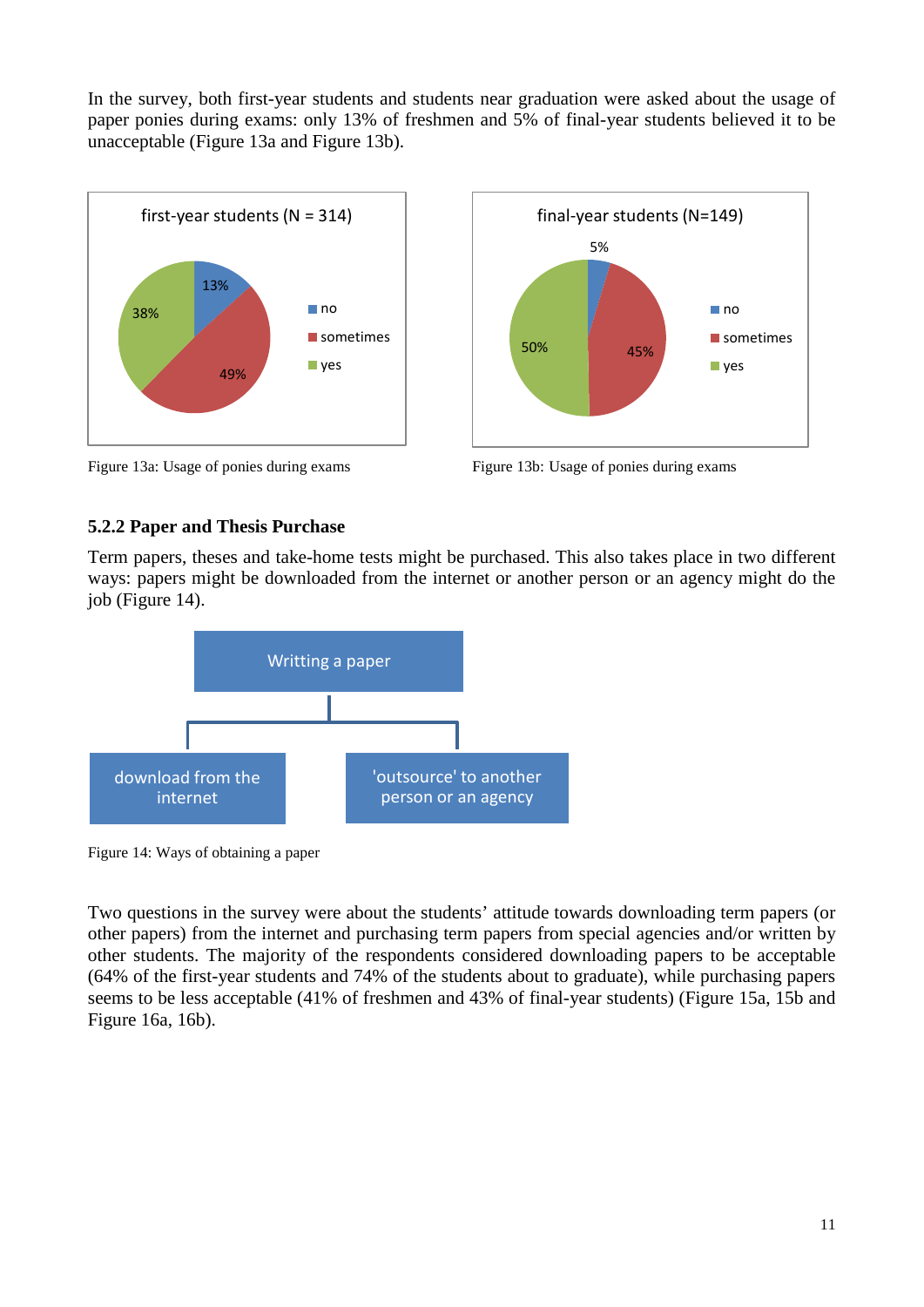In the survey, both first-year students and students near graduation were asked about the usage of paper ponies during exams: only 13% of freshmen and 5% of final-year students believed it to be unacceptable (Figure 13a and Figure 13b).





Figure 13a: Usage of ponies during exams Figure 13b: Usage of ponies during exams

### **5.2.2 Paper and Thesis Purchase**

Term papers, theses and take-home tests might be purchased. This also takes place in two different ways: papers might be downloaded from the internet or another person or an agency might do the job (Figure 14).



Figure 14: Ways of obtaining a paper

Two questions in the survey were about the students' attitude towards downloading term papers (or other papers) from the internet and purchasing term papers from special agencies and/or written by other students. The majority of the respondents considered downloading papers to be acceptable (64% of the first-year students and 74% of the students about to graduate), while purchasing papers seems to be less acceptable (41% of freshmen and 43% of final-year students) (Figure 15a, 15b and Figure 16a, 16b).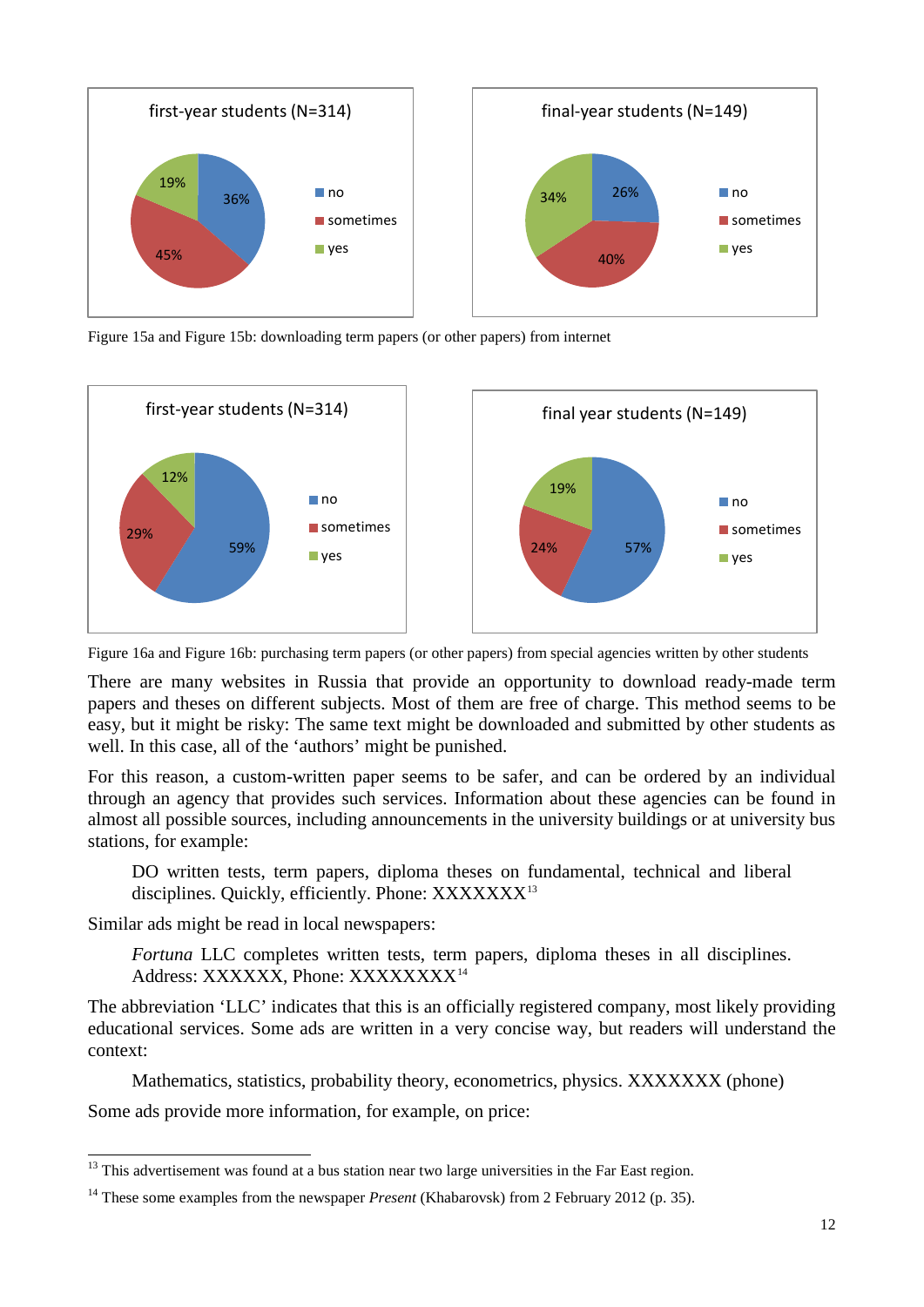

Figure 15a and Figure 15b: downloading term papers (or other papers) from internet



Figure 16a and Figure 16b: purchasing term papers (or other papers) from special agencies written by other students

There are many websites in Russia that provide an opportunity to download ready-made term papers and theses on different subjects. Most of them are free of charge. This method seems to be easy, but it might be risky: The same text might be downloaded and submitted by other students as well. In this case, all of the 'authors' might be punished.

For this reason, a custom-written paper seems to be safer, and can be ordered by an individual through an agency that provides such services. Information about these agencies can be found in almost all possible sources, including announcements in the university buildings or at university bus stations, for example:

DO written tests, term papers, diploma theses on fundamental, technical and liberal disciplines. Quickly, efficiently. Phone: XXXXXXX<sup>[13](#page-11-0)</sup>

Similar ads might be read in local newspapers:

*Fortuna* LLC completes written tests, term papers, diploma theses in all disciplines. Address: XXXXXX, Phone: XXXXXXXX<sup>[14](#page-11-1)</sup>

The abbreviation 'LLC' indicates that this is an officially registered company, most likely providing educational services. Some ads are written in a very concise way, but readers will understand the context:

Mathematics, statistics, probability theory, econometrics, physics. XXXXXXX (phone)

Some ads provide more information, for example, on price:

<sup>&</sup>lt;sup>13</sup> This advertisement was found at a bus station near two large universities in the Far East region. -

<span id="page-11-1"></span><span id="page-11-0"></span><sup>&</sup>lt;sup>14</sup> These some examples from the newspaper *Present* (Khabarovsk) from 2 February 2012 (p. 35).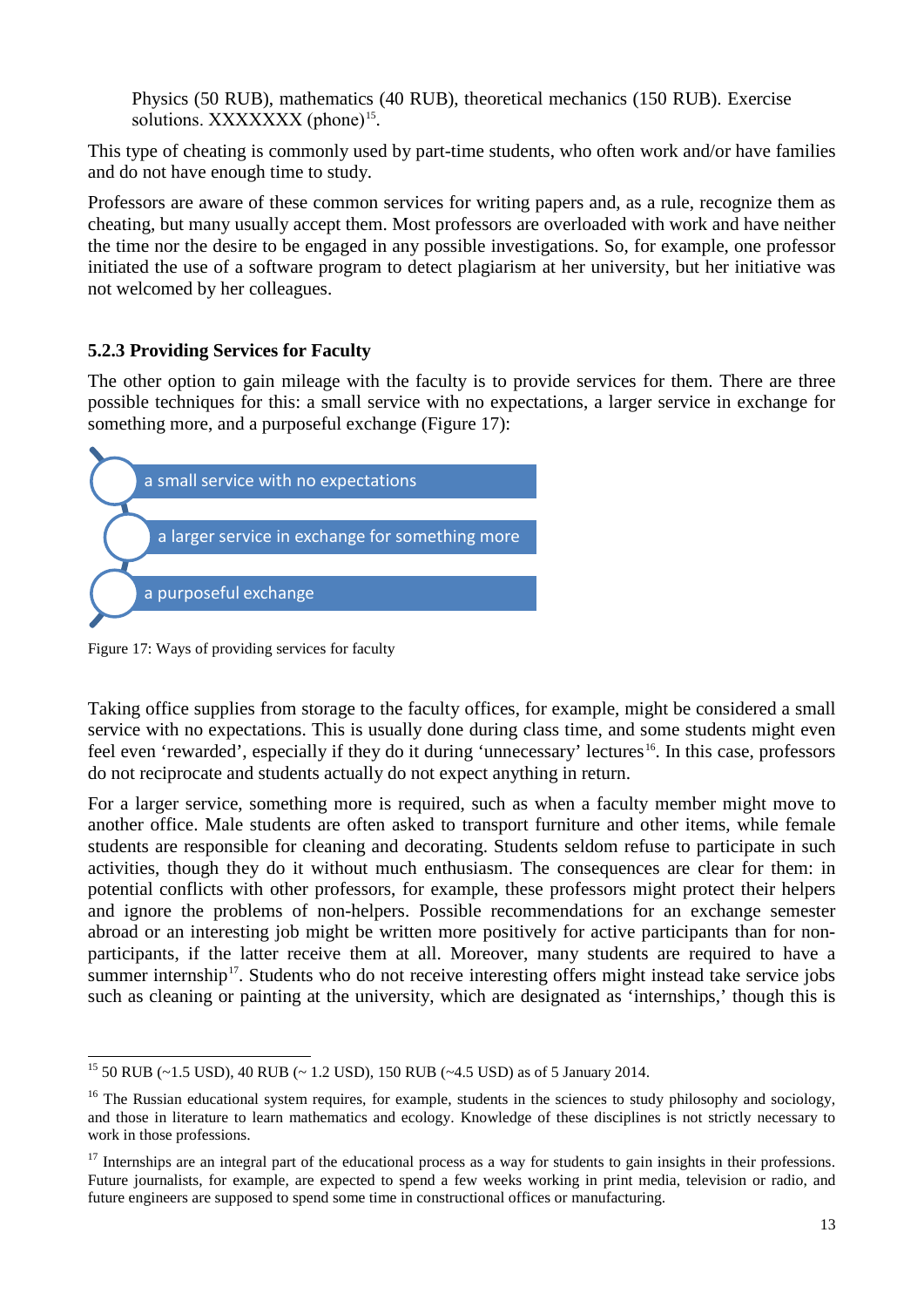Physics (50 RUB), mathematics (40 RUB), theoretical mechanics (150 RUB). Exercise solutions. XXXXXXX (phone)<sup>[15](#page-12-0)</sup>.

This type of cheating is commonly used by part-time students, who often work and/or have families and do not have enough time to study.

Professors are aware of these common services for writing papers and, as a rule, recognize them as cheating, but many usually accept them. Most professors are overloaded with work and have neither the time nor the desire to be engaged in any possible investigations. So, for example, one professor initiated the use of a software program to detect plagiarism at her university, but her initiative was not welcomed by her colleagues.

### **5.2.3 Providing Services for Faculty**

The other option to gain mileage with the faculty is to provide services for them. There are three possible techniques for this: a small service with no expectations, a larger service in exchange for something more, and a purposeful exchange (Figure 17):



Figure 17: Ways of providing services for faculty

Taking office supplies from storage to the faculty offices, for example, might be considered a small service with no expectations. This is usually done during class time, and some students might even feel even 'rewarded', especially if they do it during 'unnecessary' lectures<sup>[16](#page-12-1)</sup>. In this case, professors do not reciprocate and students actually do not expect anything in return.

For a larger service, something more is required, such as when a faculty member might move to another office. Male students are often asked to transport furniture and other items, while female students are responsible for cleaning and decorating. Students seldom refuse to participate in such activities, though they do it without much enthusiasm. The consequences are clear for them: in potential conflicts with other professors, for example, these professors might protect their helpers and ignore the problems of non-helpers. Possible recommendations for an exchange semester abroad or an interesting job might be written more positively for active participants than for nonparticipants, if the latter receive them at all. Moreover, many students are required to have a summer internship<sup>17</sup>. Students who do not receive interesting offers might instead take service jobs such as cleaning or painting at the university, which are designated as 'internships,' though this is

<sup>&</sup>lt;sup>15</sup> 50 RUB (~1.5 USD), 40 RUB (~1.2 USD), 150 RUB (~4.5 USD) as of 5 January 2014.  $\overline{a}$ 

<span id="page-12-1"></span><span id="page-12-0"></span> $16$  The Russian educational system requires, for example, students in the sciences to study philosophy and sociology, and those in literature to learn mathematics and ecology. Knowledge of these disciplines is not strictly necessary to work in those professions.

<span id="page-12-2"></span> $17$  Internships are an integral part of the educational process as a way for students to gain insights in their professions. Future journalists, for example, are expected to spend a few weeks working in print media, television or radio, and future engineers are supposed to spend some time in constructional offices or manufacturing.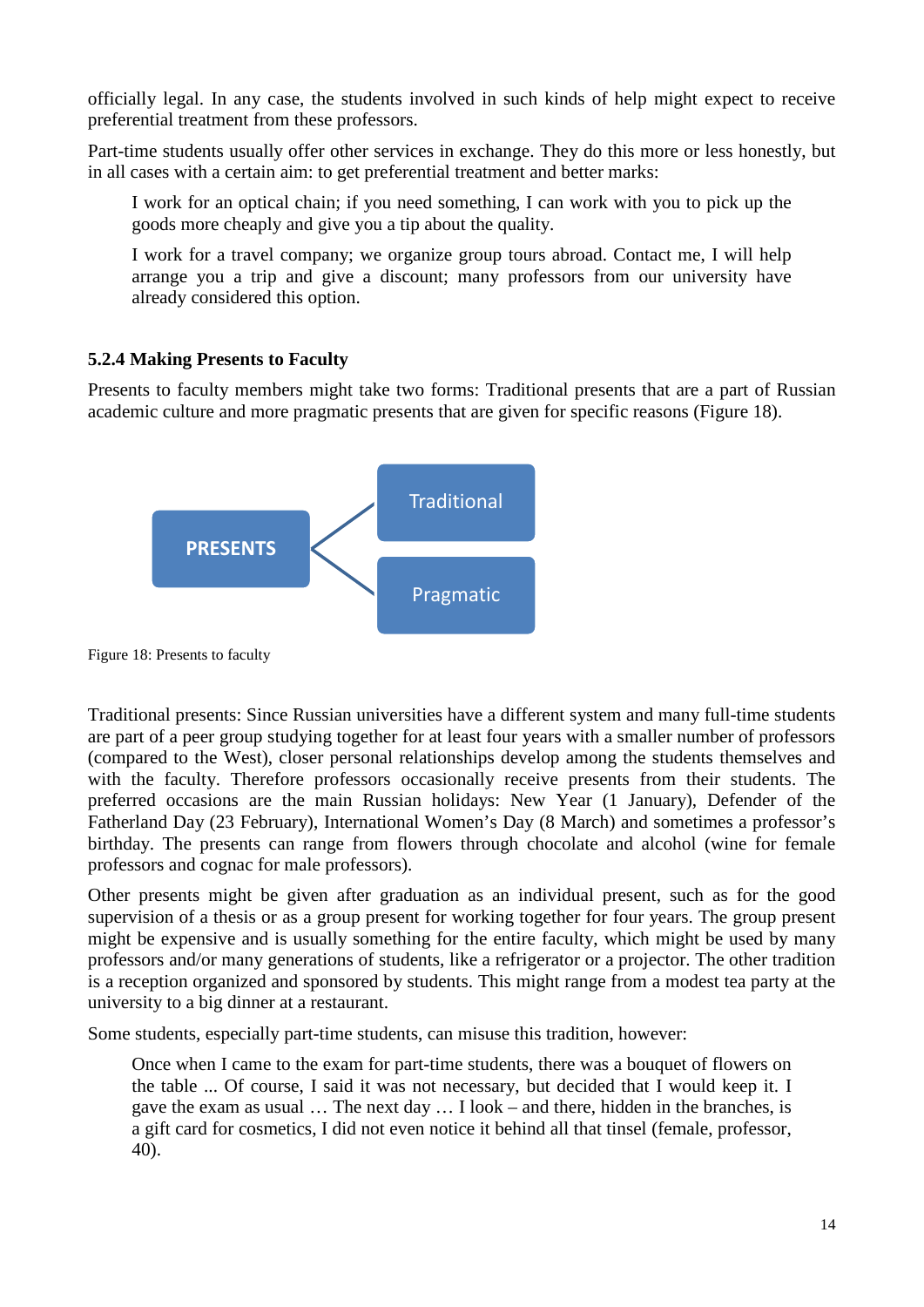officially legal. In any case, the students involved in such kinds of help might expect to receive preferential treatment from these professors.

Part-time students usually offer other services in exchange. They do this more or less honestly, but in all cases with a certain aim: to get preferential treatment and better marks:

I work for an optical chain; if you need something, I can work with you to pick up the goods more cheaply and give you a tip about the quality.

I work for a travel company; we organize group tours abroad. Contact me, I will help arrange you a trip and give a discount; many professors from our university have already considered this option.

### **5.2.4 Making Presents to Faculty**

Presents to faculty members might take two forms: Traditional presents that are a part of Russian academic culture and more pragmatic presents that are given for specific reasons (Figure 18).



Figure 18: Presents to faculty

Traditional presents: Since Russian universities have a different system and many full-time students are part of a peer group studying together for at least four years with a smaller number of professors (compared to the West), closer personal relationships develop among the students themselves and with the faculty. Therefore professors occasionally receive presents from their students. The preferred occasions are the main Russian holidays: New Year (1 January), Defender of the Fatherland Day (23 February), International Women's Day (8 March) and sometimes a professor's birthday. The presents can range from flowers through chocolate and alcohol (wine for female professors and cognac for male professors).

Other presents might be given after graduation as an individual present, such as for the good supervision of a thesis or as a group present for working together for four years. The group present might be expensive and is usually something for the entire faculty, which might be used by many professors and/or many generations of students, like a refrigerator or a projector. The other tradition is a reception organized and sponsored by students. This might range from a modest tea party at the university to a big dinner at a restaurant.

Some students, especially part-time students, can misuse this tradition, however:

Once when I came to the exam for part-time students, there was a bouquet of flowers on the table ... Of course, I said it was not necessary, but decided that I would keep it. I gave the exam as usual … The next day … I look – and there, hidden in the branches, is a gift card for cosmetics, I did not even notice it behind all that tinsel (female, professor, 40).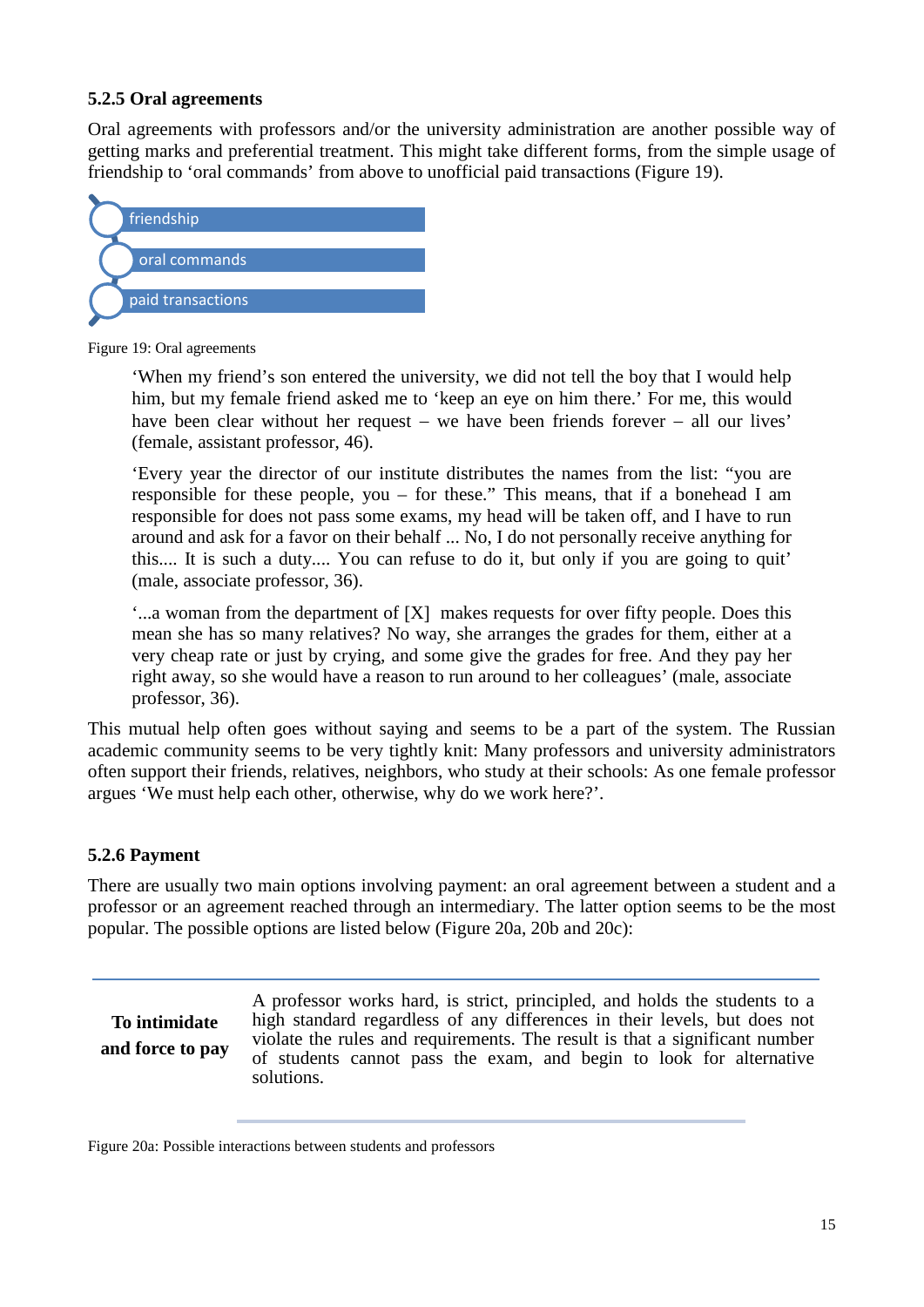#### **5.2.5 Oral agreements**

Oral agreements with professors and/or the university administration are another possible way of getting marks and preferential treatment. This might take different forms, from the simple usage of friendship to 'oral commands' from above to unofficial paid transactions (Figure 19).



Figure 19: Oral agreements

'When my friend's son entered the university, we did not tell the boy that I would help him, but my female friend asked me to 'keep an eye on him there.' For me, this would have been clear without her request – we have been friends forever – all our lives' (female, assistant professor, 46).

'Every year the director of our institute distributes the names from the list: "you are responsible for these people, you – for these." This means, that if a bonehead I am responsible for does not pass some exams, my head will be taken off, and I have to run around and ask for a favor on their behalf ... No, I do not personally receive anything for this.... It is such a duty.... You can refuse to do it, but only if you are going to quit' (male, associate professor, 36).

'...a woman from the department of [X] makes requests for over fifty people. Does this mean she has so many relatives? No way, she arranges the grades for them, either at a very cheap rate or just by crying, and some give the grades for free. And they pay her right away, so she would have a reason to run around to her colleagues' (male, associate professor, 36).

This mutual help often goes without saying and seems to be a part of the system. The Russian academic community seems to be very tightly knit: Many professors and university administrators often support their friends, relatives, neighbors, who study at their schools: As one female professor argues 'We must help each other, otherwise, why do we work here?'.

### **5.2.6 Payment**

There are usually two main options involving payment: an oral agreement between a student and a professor or an agreement reached through an intermediary. The latter option seems to be the most popular. The possible options are listed below (Figure 20a, 20b and 20c):

**To intimidate and force to pay**

A professor works hard, is strict, principled, and holds the students to a high standard regardless of any differences in their levels, but does not violate the rules and requirements. The result is that a significant number of students cannot pass the exam, and begin to look for alternative solutions.

Figure 20a: Possible interactions between students and professors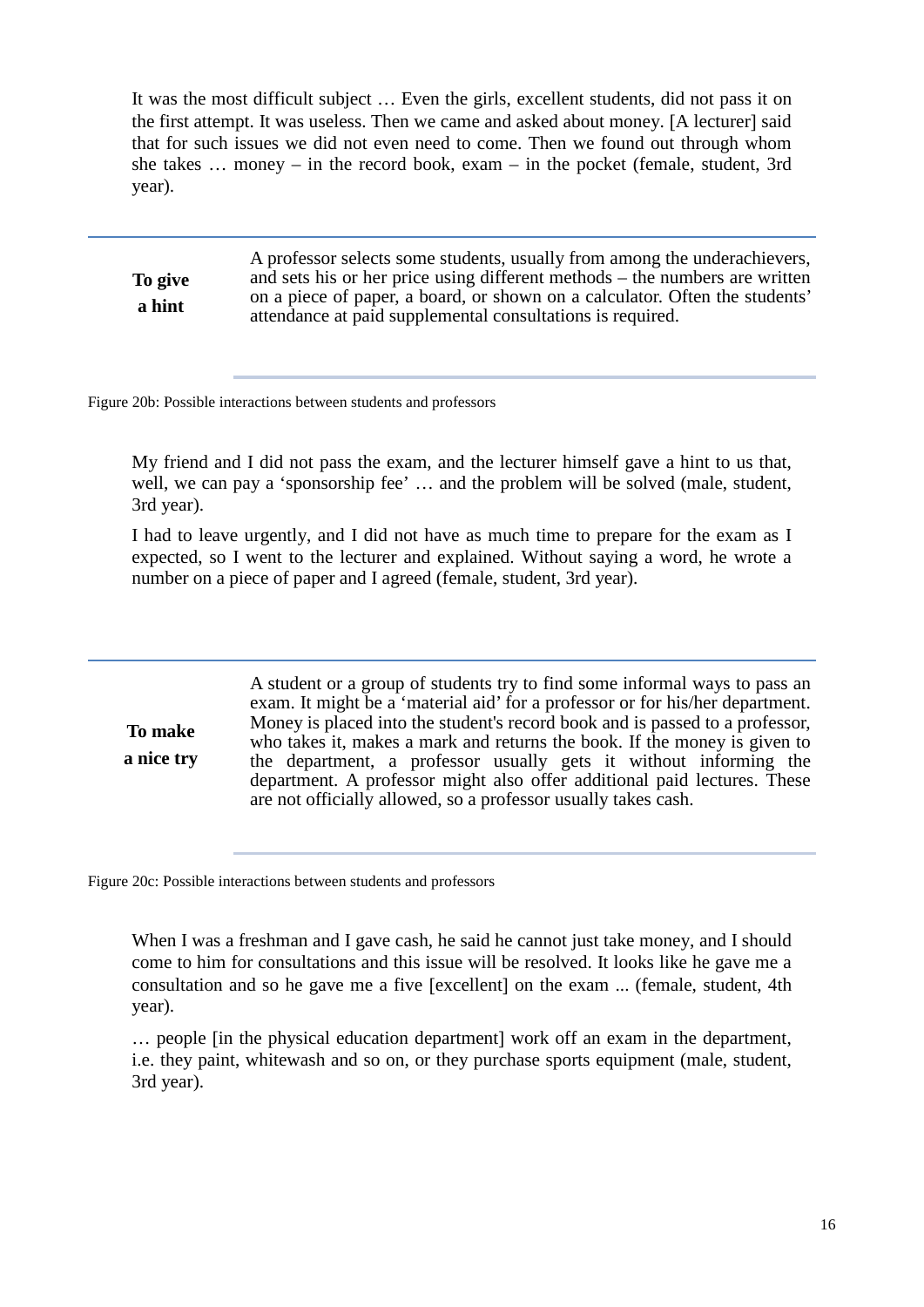It was the most difficult subject … Even the girls, excellent students, did not pass it on the first attempt. It was useless. Then we came and asked about money. [A lecturer] said that for such issues we did not even need to come. Then we found out through whom she takes … money – in the record book, exam – in the pocket (female, student, 3rd year).

**To give a hint** A professor selects some students, usually from among the underachievers, and sets his or her price using different methods – the numbers are written on a piece of paper, a board, or shown on a calculator. Often the students' attendance at paid supplemental consultations is required.

Figure 20b: Possible interactions between students and professors

My friend and I did not pass the exam, and the lecturer himself gave a hint to us that, well, we can pay a 'sponsorship fee' ... and the problem will be solved (male, student, 3rd year).

I had to leave urgently, and I did not have as much time to prepare for the exam as I expected, so I went to the lecturer and explained. Without saying a word, he wrote a number on a piece of paper and I agreed (female, student, 3rd year).

**To make a nice try** A student or a group of students try to find some informal ways to pass an exam. It might be a 'material aid' for a professor or for his/her department. Money is placed into the student's record book and is passed to a professor, who takes it, makes a mark and returns the book. If the money is given to the department, a professor usually gets it without informing the department. A professor might also offer additional paid lectures. These are not officially allowed, so a professor usually takes cash.

Figure 20c: Possible interactions between students and professors

When I was a freshman and I gave cash, he said he cannot just take money, and I should come to him for consultations and this issue will be resolved. It looks like he gave me a consultation and so he gave me a five [excellent] on the exam ... (female, student, 4th year).

… people [in the physical education department] work off an exam in the department, i.e. they paint, whitewash and so on, or they purchase sports equipment (male, student, 3rd year).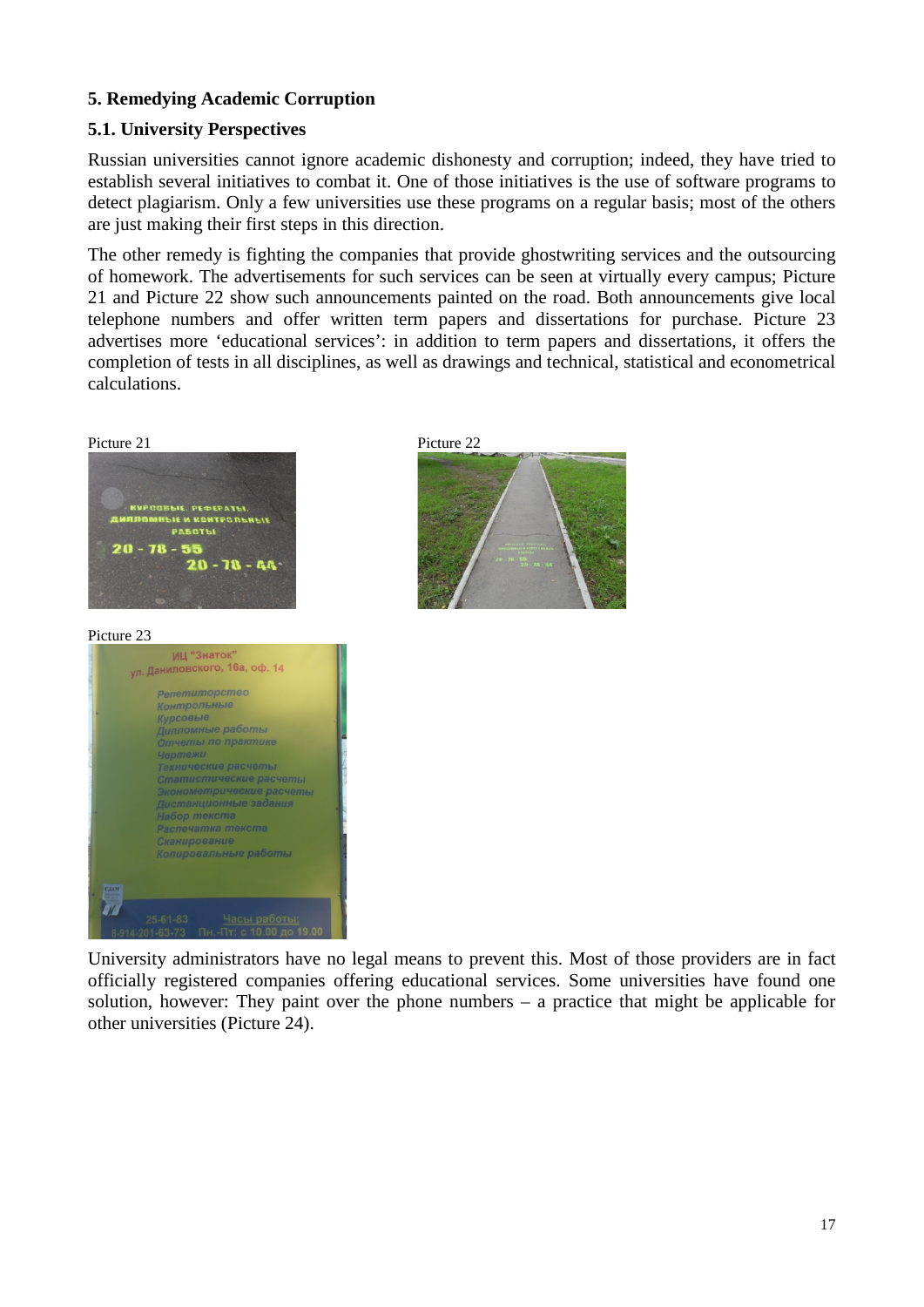## **5. Remedying Academic Corruption**

# **5.1. University Perspectives**

Russian universities cannot ignore academic dishonesty and corruption; indeed, they have tried to establish several initiatives to combat it. One of those initiatives is the use of software programs to detect plagiarism. Only a few universities use these programs on a regular basis; most of the others are just making their first steps in this direction.

The other remedy is fighting the companies that provide ghostwriting services and the outsourcing of homework. The advertisements for such services can be seen at virtually every campus; Picture 21 and Picture 22 show such announcements painted on the road. Both announcements give local telephone numbers and offer written term papers and dissertations for purchase. Picture 23 advertises more 'educational services': in addition to term papers and dissertations, it offers the completion of tests in all disciplines, as well as drawings and technical, statistical and econometrical calculations.



University administrators have no legal means to prevent this. Most of those providers are in fact officially registered companies offering educational services. Some universities have found one solution, however: They paint over the phone numbers – a practice that might be applicable for other universities (Picture 24).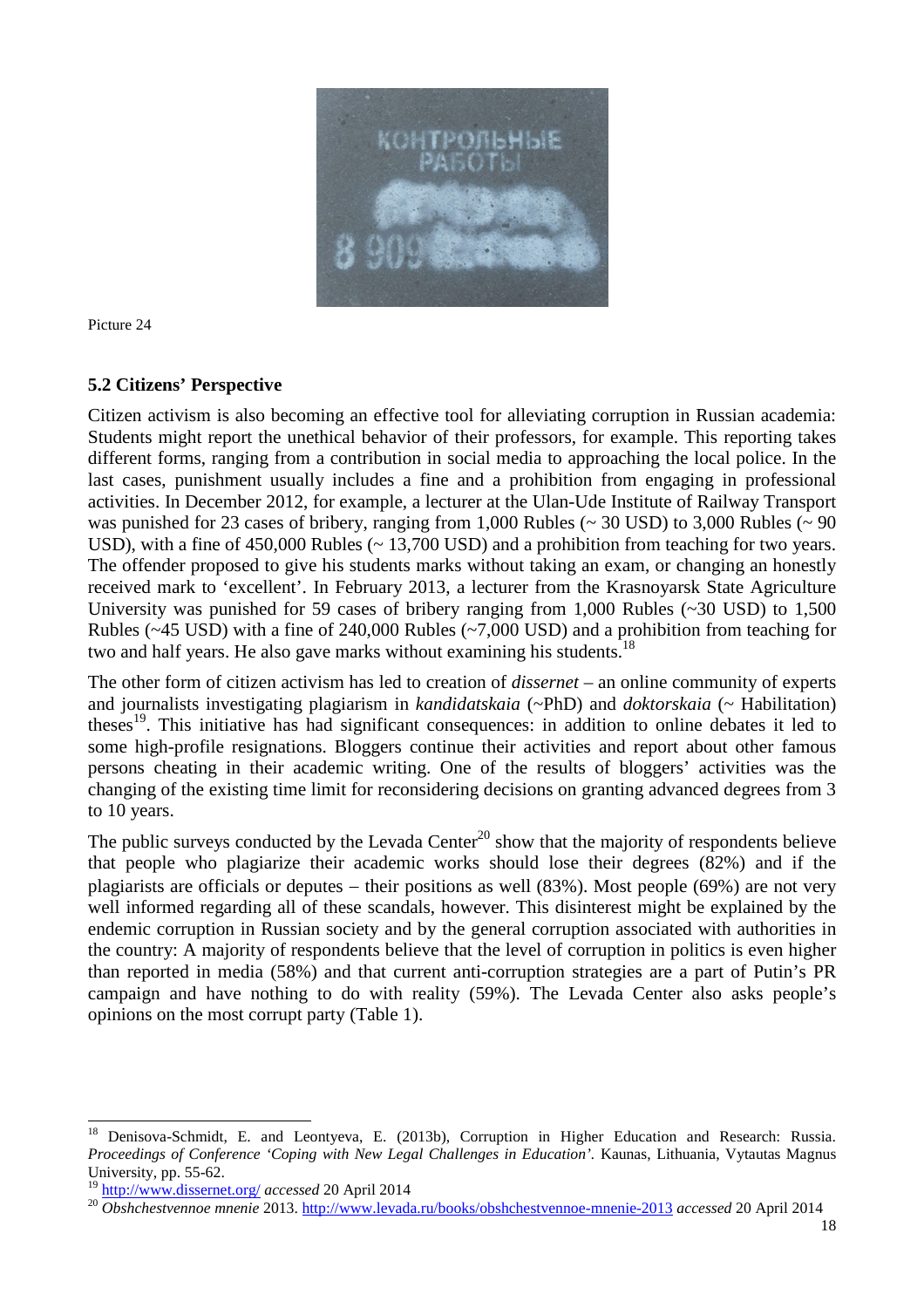

Picture 24

### **5.2 Citizens' Perspective**

Citizen activism is also becoming an effective tool for alleviating corruption in Russian academia: Students might report the unethical behavior of their professors, for example. This reporting takes different forms, ranging from a contribution in social media to approaching the local police. In the last cases, punishment usually includes a fine and a prohibition from engaging in professional activities. In December 2012, for example, a lecturer at the Ulan-Ude Institute of Railway Transport was punished for 23 cases of bribery, ranging from 1,000 Rubles (~ 30 USD) to 3,000 Rubles (~ 90 USD), with a fine of 450,000 Rubles ( $\sim$  13,700 USD) and a prohibition from teaching for two vears. The offender proposed to give his students marks without taking an exam, or changing an honestly received mark to 'excellent'. In February 2013, a lecturer from the Krasnoyarsk State Agriculture University was punished for 59 cases of bribery ranging from 1,000 Rubles (~30 USD) to 1,500 Rubles (~45 USD) with a fine of 240,000 Rubles (~7,000 USD) and a prohibition from teaching for two and half years. He also gave marks without examining his students.<sup>18</sup>

The other form of citizen activism has led to creation of *dissernet* – an online community of experts and journalists investigating plagiarism in *kandidatskaia* (~PhD) and *doktorskaia* (~ Habilitation) theses<sup>19</sup>. This initiative has had significant consequences: in addition to online debates it led to some high-profile resignations. Bloggers continue their activities and report about other famous persons cheating in their academic writing. One of the results of bloggers' activities was the changing of the existing time limit for reconsidering decisions on granting advanced degrees from 3 to 10 years.

The public surveys conducted by the Levada Center<sup>20</sup> show that the majority of respondents believe that people who plagiarize their academic works should lose their degrees (82%) and if the plagiarists are officials or deputes  $-$  their positions as well (83%). Most people (69%) are not very well informed regarding all of these scandals, however. This disinterest might be explained by the endemic corruption in Russian society and by the general corruption associated with authorities in the country: A majority of respondents believe that the level of corruption in politics is even higher than reported in media (58%) and that current anti-corruption strategies are a part of Putin's PR campaign and have nothing to do with reality (59%). The Levada Center also asks people's opinions on the most corrupt party (Table 1).

<sup>&</sup>lt;sup>18</sup> Denisova-Schmidt, E. and Leontyeva, E. (2013b), Corruption in Higher Education and Research: Russia. *Proceedings of Conference 'Coping with New Legal Challenges in Education'.* Kaunas, Lithuania, Vytautas Magnus University, pp. 55-62.

<sup>19</sup> http://www.dissernet.org/ *accessed* 20 April 2014

<sup>20</sup> *Obshchestvennoe mnenie* 2013. http://www.levada.ru/books/obshchestvennoe-mnenie-2013 *accessed* 20 April 2014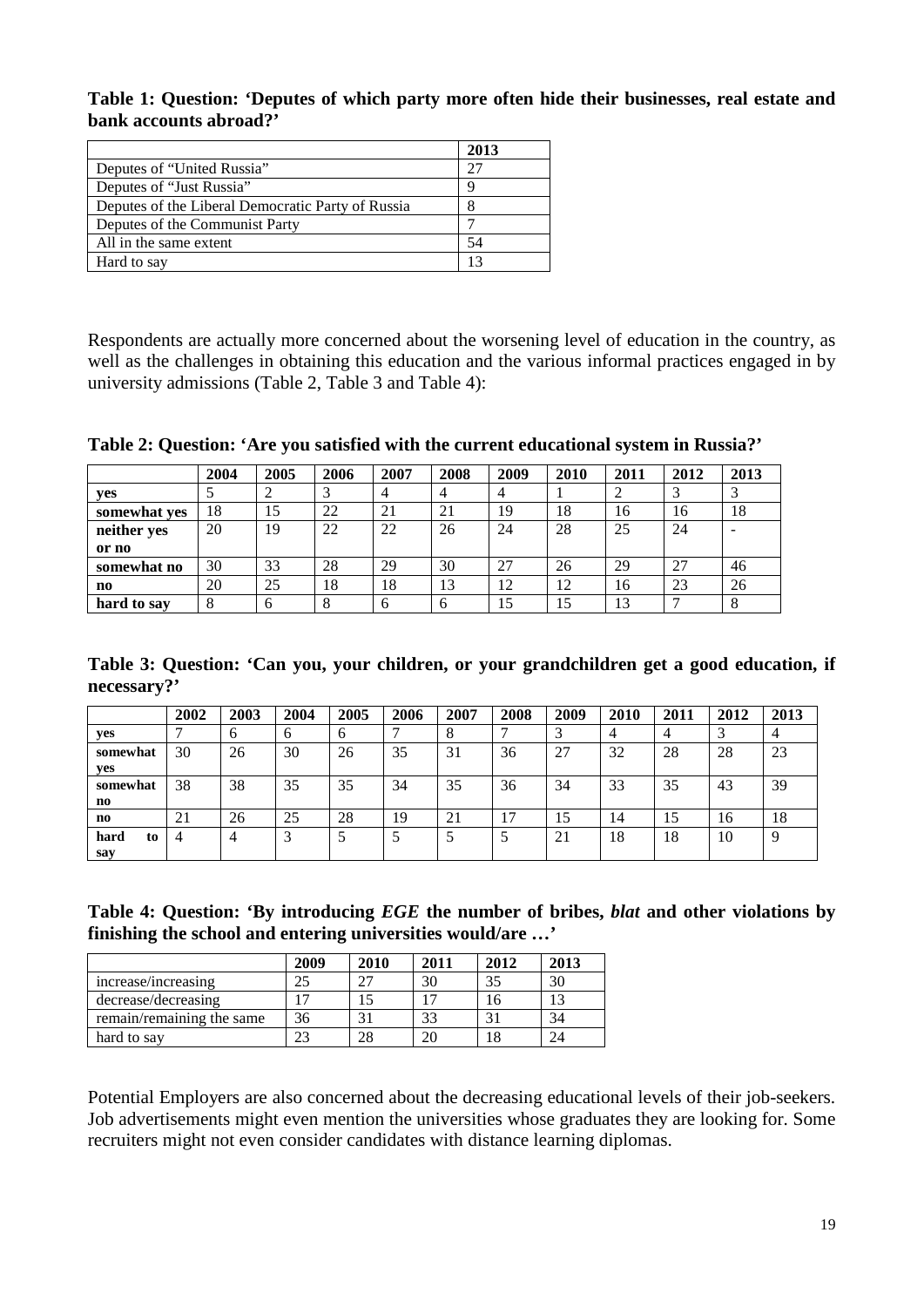**Table 1: Question: 'Deputes of which party more often hide their businesses, real estate and bank accounts abroad?'** 

|                                                   | 2013 |
|---------------------------------------------------|------|
| Deputes of "United Russia"                        | 27   |
| Deputes of "Just Russia"                          |      |
| Deputes of the Liberal Democratic Party of Russia |      |
| Deputes of the Communist Party                    |      |
| All in the same extent                            | 54   |
| Hard to say                                       |      |

Respondents are actually more concerned about the worsening level of education in the country, as well as the challenges in obtaining this education and the various informal practices engaged in by university admissions (Table 2, Table 3 and Table 4):

**Table 2: Question: 'Are you satisfied with the current educational system in Russia?'**

|                        | 2004 | 2005 | 2006 | 2007 | 2008 | 2009 | 2010 | 2011 | 2012 | 2013 |
|------------------------|------|------|------|------|------|------|------|------|------|------|
| yes                    |      |      |      | 4    | 4    | 4    |      |      |      |      |
| somewhat ves           | 18   | 15   | 22   | 21   | 21   | 19   | 18   | 16   | 16   | 18   |
| neither yes            | 20   | 19   | 22   | 22   | 26   | 24   | 28   | 25   | 24   | -    |
| or no                  |      |      |      |      |      |      |      |      |      |      |
| somewhat no            | 30   | 33   | 28   | 29   | 30   | 27   | 26   | 29   | 27   | 46   |
| $\mathbf{n}\mathbf{o}$ | 20   | 25   | 18   | 18   | 13   | 12   | 12   | 16   | 23   | 26   |
| hard to say            | 8    | 6    | 8    | 6    | 6    | 15   | 15   | 13   |      | 8    |

**Table 3: Question: 'Can you, your children, or your grandchildren get a good education, if necessary?'** 

|            | 2002 | 2003 | 2004 | 2005 | 2006 | 2007 | 2008 | 2009   | 2010 | 2011 | 2012 | 2013 |
|------------|------|------|------|------|------|------|------|--------|------|------|------|------|
| yes        |      | o    | O    | b    |      | Ō    |      | $\sim$ |      |      |      |      |
| somewhat   | 30   | 26   | 30   | 26   | 35   | 31   | 36   | 27     | 32   | 28   | 28   | 23   |
| yes        |      |      |      |      |      |      |      |        |      |      |      |      |
| somewhat   | 38   | 38   | 35   | 35   | 34   | 35   | 36   | 34     | 33   | 35   | 43   | 39   |
| no         |      |      |      |      |      |      |      |        |      |      |      |      |
| no         | 21   | 26   | 25   | 28   | 19   | 21   |      | 15     | 14   | 15   | 16   | 18   |
| to<br>hard | 4    |      | J    |      |      |      |      | 21     | 18   | 18   | 10   | 9    |
| say        |      |      |      |      |      |      |      |        |      |      |      |      |

| Table 4: Question: 'By introducing EGE the number of bribes, <i>blat</i> and other violations by |  |  |  |
|--------------------------------------------------------------------------------------------------|--|--|--|
| finishing the school and entering universities would/are '                                       |  |  |  |

|                           | 2009 | 2010 | 2011 | 2012 | 2013 |
|---------------------------|------|------|------|------|------|
| increase/increasing       |      | 27   | 30   | 35   | 30   |
| decrease/decreasing       |      |      |      |      |      |
| remain/remaining the same | 36   |      | 33   | ⌒    | 34   |
| hard to say               |      | 28   |      |      |      |

Potential Employers are also concerned about the decreasing educational levels of their job-seekers. Job advertisements might even mention the universities whose graduates they are looking for. Some recruiters might not even consider candidates with distance learning diplomas.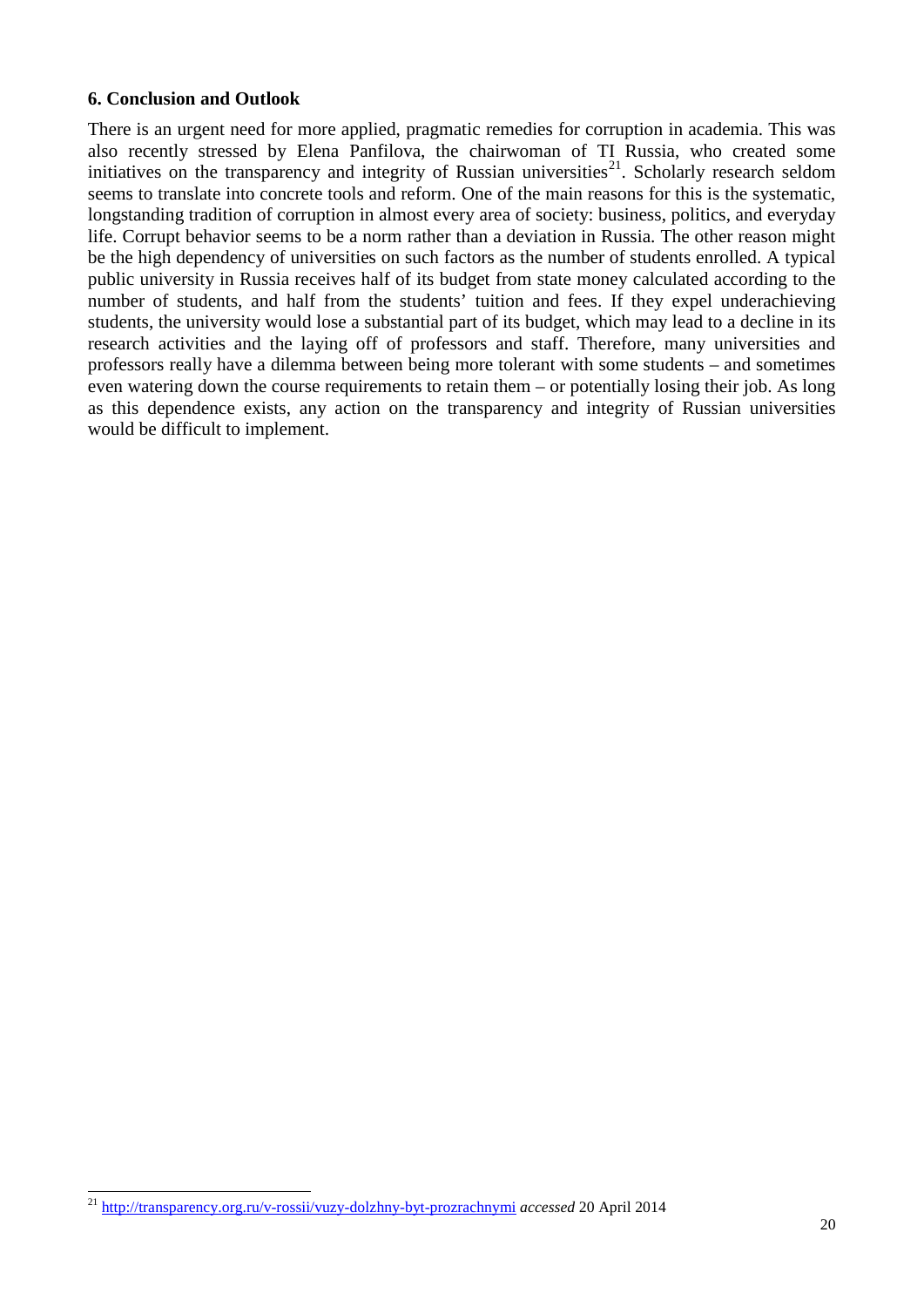#### **6. Conclusion and Outlook**

There is an urgent need for more applied, pragmatic remedies for corruption in academia. This was also recently stressed by Elena Panfilova, the chairwoman of TI Russia, who created some initiatives on the transparency and integrity of Russian universities<sup>21</sup>. Scholarly research seldom seems to translate into concrete tools and reform. One of the main reasons for this is the systematic, longstanding tradition of corruption in almost every area of society: business, politics, and everyday life. Corrupt behavior seems to be a norm rather than a deviation in Russia. The other reason might be the high dependency of universities on such factors as the number of students enrolled. A typical public university in Russia receives half of its budget from state money calculated according to the number of students, and half from the students' tuition and fees. If they expel underachieving students, the university would lose a substantial part of its budget, which may lead to a decline in its research activities and the laying off of professors and staff. Therefore, many universities and professors really have a dilemma between being more tolerant with some students – and sometimes even watering down the course requirements to retain them – or potentially losing their job. As long as this dependence exists, any action on the transparency and integrity of Russian universities would be difficult to implement.

<span id="page-19-0"></span><sup>21</sup> <http://transparency.org.ru/v-rossii/vuzy-dolzhny-byt-prozrachnymi> *accessed* 20 April 2014  $\overline{a}$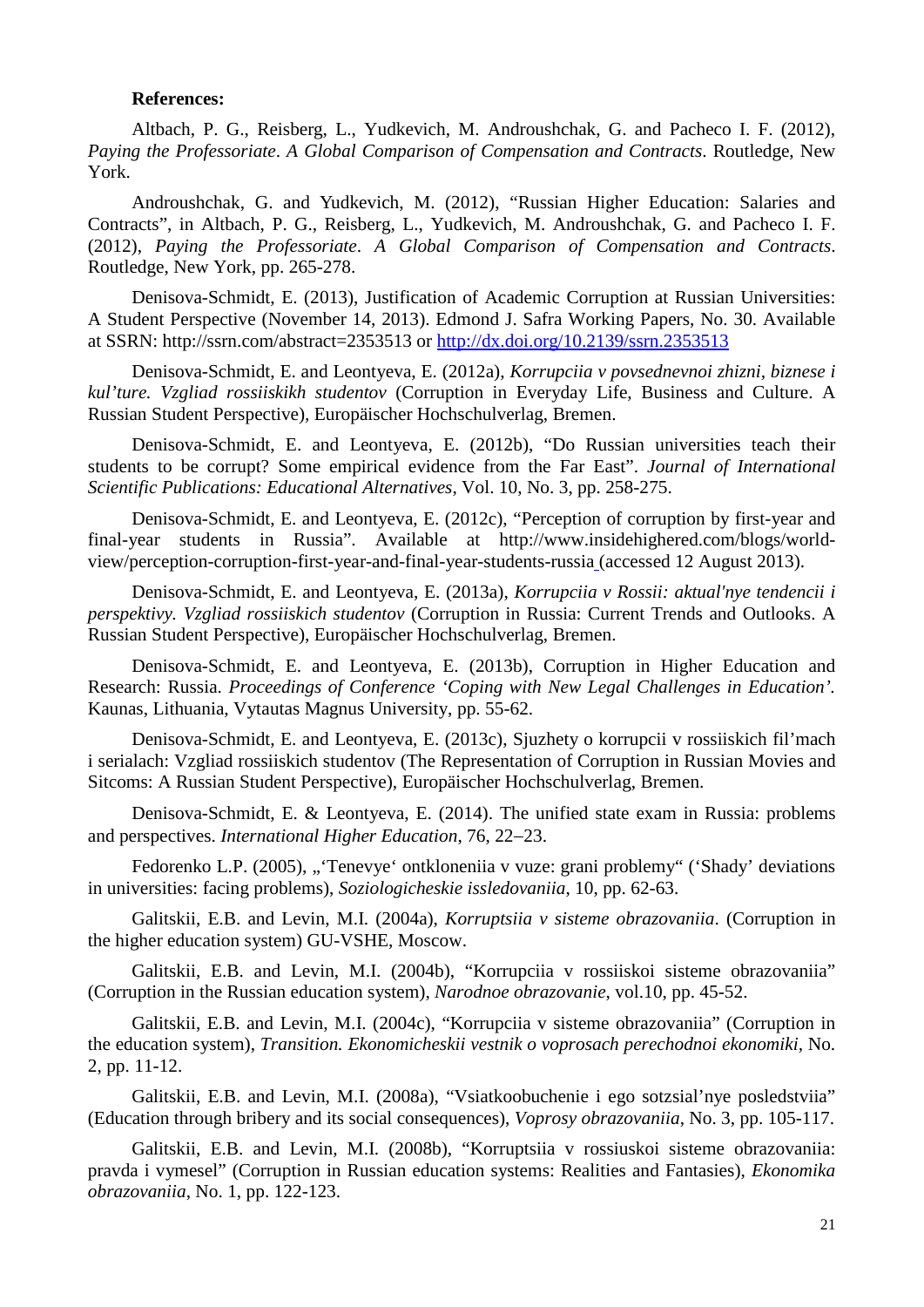#### **References:**

Altbach, P. G., [Reisberg,](http://routledge-ny.com/books/search/author/liz_reisberg/) L., [Yudkevich,](http://routledge-ny.com/books/search/author/maria_yudkevich/) M. [Androushchak,](http://routledge-ny.com/books/search/author/gregory_androushchak/) G. and [Pacheco](http://routledge-ny.com/books/search/author/ivan_f_pacheco/) I. F. (2012), *Paying the Professoriate*. *A Global Comparison of Compensation and Contracts*. Routledge, New York.

Androushchak, G. and Yudkevich, M. (2012), "Russian Higher Education: Salaries and Contracts", in Altbach, P. G., [Reisberg,](http://routledge-ny.com/books/search/author/liz_reisberg/) L., [Yudkevich,](http://routledge-ny.com/books/search/author/maria_yudkevich/) M. [Androushchak,](http://routledge-ny.com/books/search/author/gregory_androushchak/) G. and [Pacheco](http://routledge-ny.com/books/search/author/ivan_f_pacheco/) I. F. (2012), *Paying the Professoriate*. *A Global Comparison of Compensation and Contracts*. Routledge, New York, pp. 265-278.

Denisova-Schmidt, E. (2013), Justification of Academic Corruption at Russian Universities: A Student Perspective (November 14, 2013). Edmond J. Safra Working Papers, No. 30. Available at SSRN: http://ssrn.com/abstract=2353513 or<http://dx.doi.org/10.2139/ssrn.2353513>

Denisova-Schmidt, E. and Leontyeva, E. (2012a), *Korrupciia v povsednevnoi zhizni, biznese i kul'ture. Vzgliad rossiiskikh studentov* (Corruption in Everyday Life, Business and Culture. A Russian Student Perspective)*,* Europäischer Hochschulverlag, Bremen.

Denisova-Schmidt, E. and Leontyeva, E. (2012b), "Do Russian universities teach their students to be corrupt? Some empirical evidence from the Far East". *Journal of International Scientific Publications: Educational Alternatives*, Vol. 10, No. 3, pp. 258-275.

Denisova-Schmidt, E. and Leontyeva, E. (2012c), "Perception of corruption by first-year and final-year students in Russia". Available at http://www.insidehighered.com/blogs/worldview/perception-corruption-first-year-and-final-year-students-russia (accessed 12 August 2013).

Denisova-Schmidt, E. and Leontyeva, E. (2013a), *Korrupciia v Rossii: aktual'nye tendencii i perspektivy. Vzgliad rossiiskich studentov* (Corruption in Russia: Current Trends and Outlooks. A Russian Student Perspective), Europäischer Hochschulverlag, Bremen.

Denisova-Schmidt, E. and Leontyeva, E. (2013b), Corruption in Higher Education and Research: Russia. *Proceedings of Conference 'Coping with New Legal Challenges in Education'.* Kaunas, Lithuania, Vytautas Magnus University, pp. 55-62.

Denisova-Schmidt, E. and Leontyeva, E. (2013c), Sjuzhety o korrupcii v rossiiskich fil'mach i serialach: Vzgliad rossiiskich studentov (The Representation of Corruption in Russian Movies and Sitcoms: A Russian Student Perspective), Europäischer Hochschulverlag, Bremen.

Denisova-Schmidt, E. & Leontyeva, E. (2014). The unified state exam in Russia: problems and perspectives. *International Higher Education*, 76, 22−23.

Fedorenko L.P. (2005), "'Tenevye' ontkloneniia v vuze: grani problemy" ('Shady' deviations in universities: facing problems), *Soziologicheskie issledovaniia*, 10, pp. 62-63.

Galitskii, E.B. and Levin, M.I. (2004a), *Korruptsiia v sisteme obrazovaniia*. (Corruption in the higher education system) GU-VSHE, Moscow.

Galitskii, E.B. and Levin, M.I. (2004b), "Korrupciia v rossiiskoi sisteme obrazovaniia" (Corruption in the Russian education system), *Narodnoe obrazovanie*, vol.10, pp. 45-52.

Galitskii, E.B. and Levin, M.I. (2004c), "Korrupciia v sisteme obrazovaniia" (Corruption in the education system), *Transition. Ekonomicheskii vestnik o voprosach perechodnoi ekonomiki,* No. 2, pp. 11-12.

Galitskii, E.B. and Levin, M.I. (2008a), "Vsiatkoobuchenie i ego sotzsial'nye posledstviia" (Education through bribery and its social consequences), *Voprosy obrazovaniia*, No. 3, pp. 105-117.

Galitskii, E.B. and Levin, M.I. (2008b), "Korruptsiia v rossiuskoi sisteme obrazovaniia: pravda i vymesel" (Corruption in Russian education systems: Realities and Fantasies), *Ekonomika obrazovaniia*, No. 1, pp. 122-123.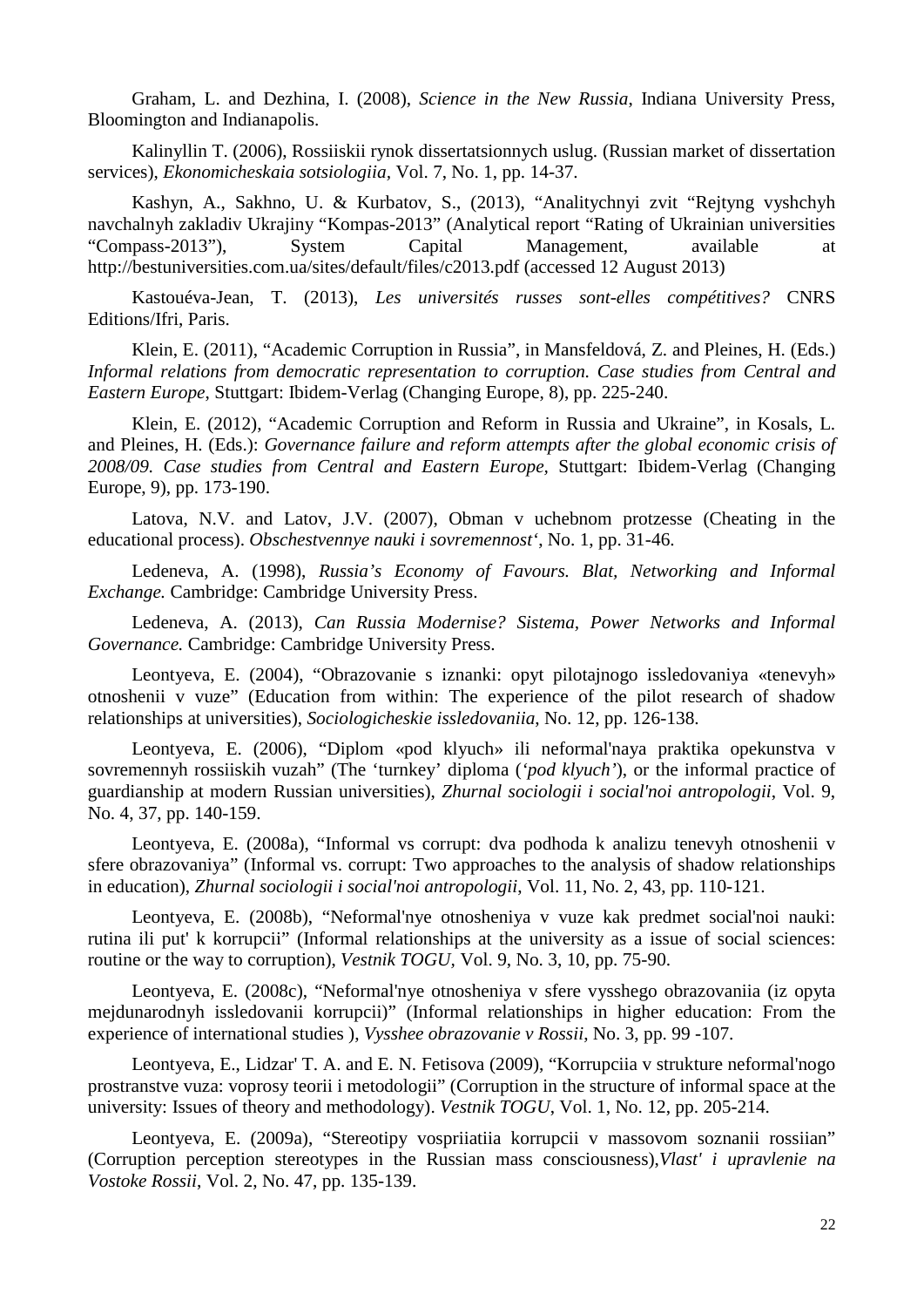Graham, L. and Dezhina, I. (2008), *Science in the New Russia*, Indiana University Press, Bloomington and Indianapolis.

Kalinyllin T. (2006), Rossiiskii rynok dissertatsionnych uslug. (Russian market of dissertation services), *Ekonomicheskaia sotsiologiia,* Vol. 7, No. 1, pp. 14-37.

Kashyn, A., Sakhno, U. & Kurbatov, S., (2013), "Analitychnyi zvit "Rejtyng vyshchyh navchalnyh zakladiv Ukrajiny "Kompas-2013" (Analytical report "Rating of Ukrainian universities "Compass-2013"), System Capital Management, available at http://bestuniversities.com.ua/sites/default/files/c2013.pdf (accessed 12 August 2013)

Kastouéva-Jean, T. (2013), *Les universités russes sont-elles compétitives?* CNRS Editions/Ifri, Paris.

Klein, E. (2011), "Academic Corruption in Russia", in Mansfeldová, Z. and Pleines, H. (Eds.) *Informal relations from democratic representation to corruption. Case studies from Central and Eastern Europe*, Stuttgart: Ibidem-Verlag (Changing Europe, 8), pp. 225-240.

Klein, E. (2012), "Academic Corruption and Reform in Russia and Ukraine", in Kosals, L. and Pleines, H. (Eds.): *Governance failure and reform attempts after the global economic crisis of 2008/09. Case studies from Central and Eastern Europe,* Stuttgart: Ibidem-Verlag (Changing Europe, 9), pp. 173-190.

Latova, N.V. and Latov, J.V. (2007), Obman v uchebnom protzesse (Cheating in the educational process). *Obschestvennye nauki i sovremennost'*, No. 1, pp. 31-46.

Ledeneva, A. (1998), *Russia's Economy of Favours. Blat, Networking and Informal Exchange.* Cambridge: Cambridge University Press.

Ledeneva, A. (2013), *Can Russia Modernise? Sistema, Power Networks and Informal Governance.* Cambridge: Cambridge University Press.

Leontyeva, E. (2004), "Obrazovanie s iznanki: opyt pilotajnogo issledovaniya «tenevyh» otnoshenii v vuze" (Education from within: The experience of the pilot research of shadow relationships at universities), *Sociologicheskie issledovaniia*, No. 12, pp. 126-138.

Leontyeva, E. (2006), "Diplom «pod klyuch» ili neformal'naya praktika opekunstva v sovremennyh rossiiskih vuzah" (The 'turnkey' diploma (*'pod klyuch'*), or the informal practice of guardianship at modern Russian universities), *Zhurnal sociologii i social'noi antropologii*, Vol. 9, No. 4, 37, pp. 140-159.

Leontyeva, E. (2008a), "Informal vs corrupt: dva podhoda k analizu tenevyh otnoshenii v sfere obrazovaniya" (Informal vs. corrupt: Two approaches to the analysis of shadow relationships in education), *Zhurnal sociologii i social'noi antropologii*, Vol. 11, No. 2, 43, pp. 110-121.

Leontyeva, E. (2008b), "Neformal'nye otnosheniya v vuze kak predmet social'noi nauki: rutina ili put' k korrupcii" (Informal relationships at the university as a issue of social sciences: routine or the way to corruption), *Vestnik TOGU,* Vol. 9, No. 3, 10, pp. 75-90.

Leontyeva, E. (2008c), "Neformal'nye otnosheniya v sfere vysshego obrazovaniia (iz opyta mejdunarodnyh issledovanii korrupcii)" (Informal relationships in higher education: From the experience of international studies ), *Vysshee obrazovanie v Rossii*, No. 3, pp. 99 -107.

Leontyeva, E., Lidzar' T. A. and E. N. Fetisova (2009), "Korrupciia v strukture neformal'nogo prostranstve vuza: voprosy teorii i metodologii" (Corruption in the structure of informal space at the university: Issues of theory and methodology). *Vestnik TOGU*, Vol. 1, No. 12, pp. 205-214.

Leontyeva, E. (2009a), "Stereotipy vospriiatiia korrupcii v massovom soznanii rossiian" (Corruption perception stereotypes in the Russian mass consciousness),*Vlast' i upravlenie na Vostoke Rossii*, Vol. 2, No. 47, pp. 135-139.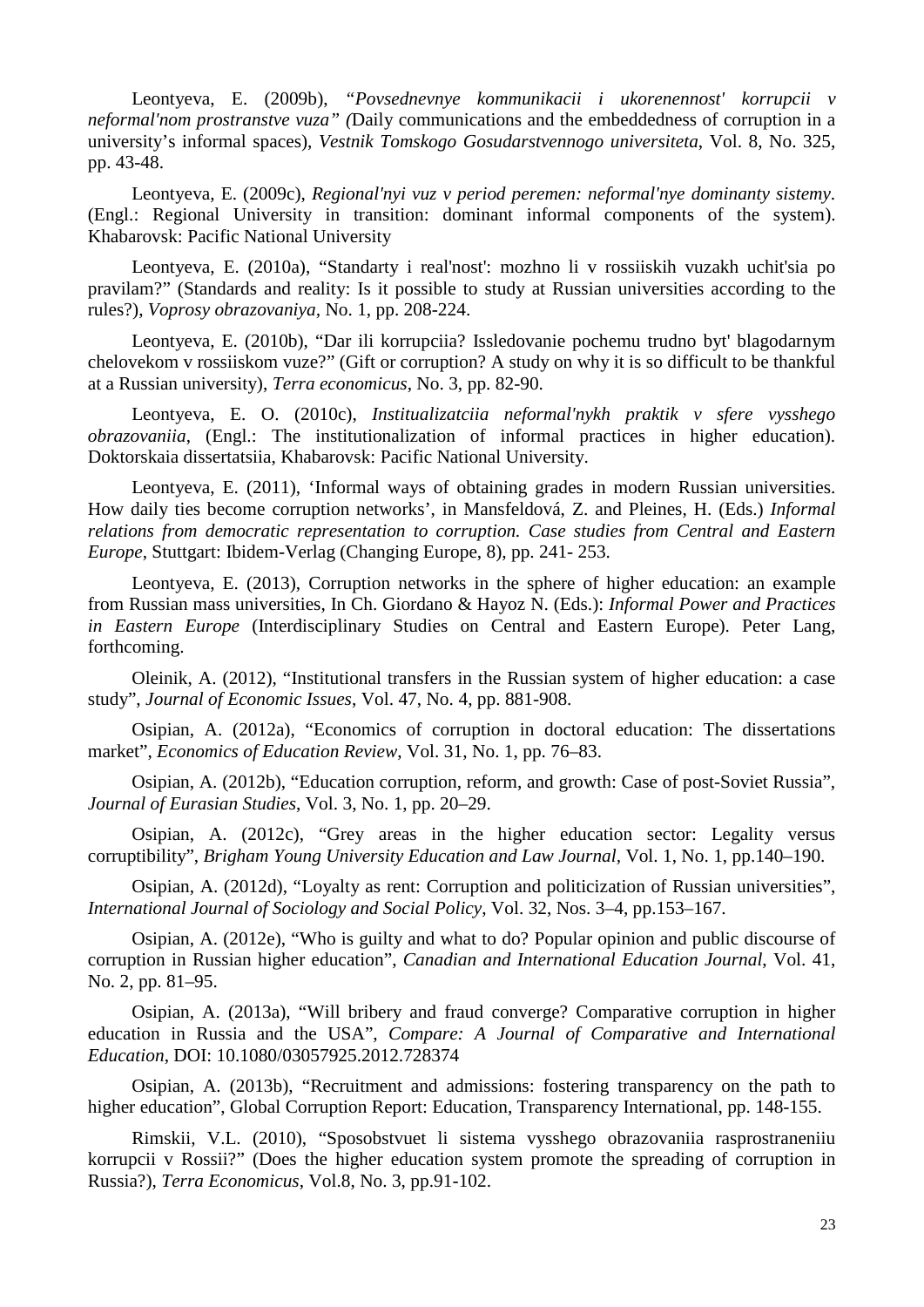Leontyeva, E. (2009b), *"Povsednevnye kommunikacii i ukorenennost' korrupcii v neformal'nom prostranstve vuza" (*Daily communications and the embeddedness of corruption in a university's informal spaces), *Vestnik Tomskogo Gosudarstvennogo universiteta*, Vol. 8, No. 325, pp. 43-48.

Leontyeva, E. (2009c), *Regional'nyi vuz v period peremen: neformal'nye dominanty sistemy*. (Engl.: Regional University in transition: dominant informal components of the system). Khabarovsk: Pacific National University

Leontyeva, E. (2010a), "Standarty i real'nost': mozhno li v rossiiskih vuzakh uchit'sia po pravilam?" (Standards and reality: Is it possible to study at Russian universities according to the rules?), *Voprosy obrazovaniya,* No. 1, pp. 208-224.

Leontyeva, E. (2010b), "Dar ili korrupciia? Issledovanie pochemu trudno byt' blagodarnym chelovekom v rossiiskom vuze?" (Gift or corruption? A study on why it is so difficult to be thankful at a Russian university), *Terra economicus*, No. 3, pp. 82-90.

Leontyeva, E. O. (2010c), *Institualizatciia neformal'nykh praktik v sfere vysshego obrazovaniia*, (Engl.: The institutionalization of informal practices in higher education). Doktorskaia dissertatsiia, Khabarovsk: Pacific National University.

Leontyeva, E. (2011), 'Informal ways of obtaining grades in modern Russian universities. How daily ties become corruption networks', in Mansfeldová, Z. and Pleines, H. (Eds.) *Informal relations from democratic representation to corruption. Case studies from Central and Eastern Europe*, Stuttgart: Ibidem-Verlag (Changing Europe, 8), pp. 241- 253.

Leontyeva, E. (2013), Corruption networks in the sphere of higher education: an example from Russian mass universities, In Ch. Giordano & Hayoz N. (Eds.): *Informal Power and Practices in Eastern Europe* (Interdisciplinary Studies on Central and Eastern Europe). Peter Lang, forthcoming.

Oleinik, A. (2012), "Institutional transfers in the Russian system of higher education: a case study", *Journal of Economic Issues*, Vol. 47, No. 4, pp. 881-908.

Osipian, A. (2012a), "Economics of corruption in doctoral education: The dissertations market", *Economics of Education Review*, Vol. 31, No. 1, pp. 76–83.

Osipian, A. (2012b), "Education corruption, reform, and growth: Case of post-Soviet Russia", *Journal of Eurasian Studies*, Vol. 3, No. 1, pp. 20–29.

Osipian, A. (2012c), "Grey areas in the higher education sector: Legality versus corruptibility", *Brigham Young University Education and Law Journal,* Vol. 1, No. 1, pp.140–190.

Osipian, A. (2012d), "Loyalty as rent: Corruption and politicization of Russian universities", *International Journal of Sociology and Social Policy*, Vol. 32, Nos. 3–4, pp.153–167.

Osipian, A. (2012e), "Who is guilty and what to do? Popular opinion and public discourse of corruption in Russian higher education", *Canadian and International Education Journal*, Vol. 41, No. 2, pp. 81–95.

Osipian, A. (2013a), "Will bribery and fraud converge? Comparative corruption in higher education in Russia and the USA", *Compare: A Journal of Comparative and International Education*, DOI: 10.1080/03057925.2012.728374

Osipian, A. (2013b), "Recruitment and admissions: fostering transparency on the path to higher education", Global Corruption Report: Education, Transparency International, pp. 148-155.

Rimskii, V.L. (2010), "Sposobstvuet li sistema vysshego obrazovaniia rasprostraneniiu korrupcii v Rossii?" (Does the higher education system promote the spreading of corruption in Russia?), *Terra Economicus*, Vol.8, No. 3, pp.91-102.